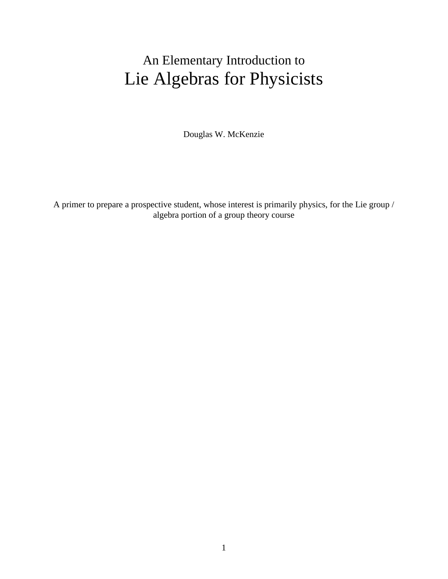# An Elementary Introduction to Lie Algebras for Physicists

Douglas W. McKenzie

A primer to prepare a prospective student, whose interest is primarily physics, for the Lie group / algebra portion of a group theory course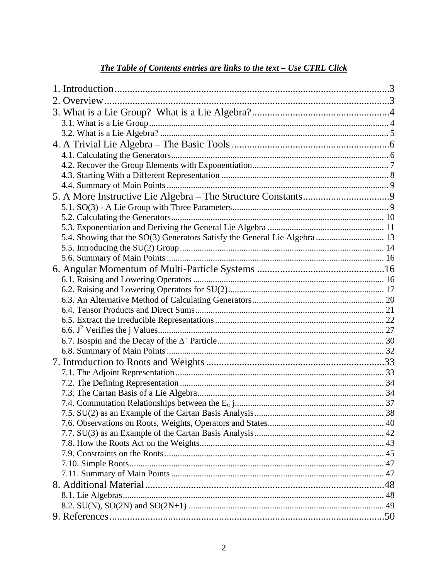# The Table of Contents entries are links to the text - Use CTRL Click

| 5.4. Showing that the SO(3) Generators Satisfy the General Lie Algebra  13 |  |
|----------------------------------------------------------------------------|--|
|                                                                            |  |
|                                                                            |  |
|                                                                            |  |
|                                                                            |  |
|                                                                            |  |
|                                                                            |  |
|                                                                            |  |
|                                                                            |  |
|                                                                            |  |
|                                                                            |  |
|                                                                            |  |
|                                                                            |  |
|                                                                            |  |
|                                                                            |  |
|                                                                            |  |
|                                                                            |  |
|                                                                            |  |
|                                                                            |  |
|                                                                            |  |
|                                                                            |  |
|                                                                            |  |
|                                                                            |  |
|                                                                            |  |
|                                                                            |  |
|                                                                            |  |
|                                                                            |  |
|                                                                            |  |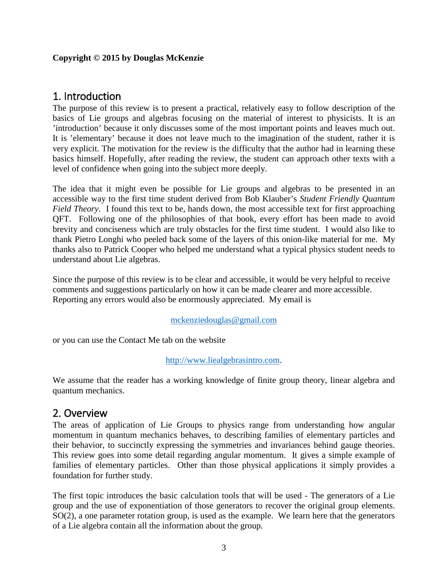#### **Copyright © 2015 by Douglas McKenzie**

# <span id="page-2-0"></span>1. Introduction

The purpose of this review is to present a practical, relatively easy to follow description of the basics of Lie groups and algebras focusing on the material of interest to physicists. It is an 'introduction' because it only discusses some of the most important points and leaves much out. It is 'elementary' because it does not leave much to the imagination of the student, rather it is very explicit. The motivation for the review is the difficulty that the author had in learning these basics himself. Hopefully, after reading the review, the student can approach other texts with a level of confidence when going into the subject more deeply.

The idea that it might even be possible for Lie groups and algebras to be presented in an accessible way to the first time student derived from Bob Klauber's *Student Friendly Quantum Field Theory*. I found this text to be, hands down, the most accessible text for first approaching QFT. Following one of the philosophies of that book, every effort has been made to avoid brevity and conciseness which are truly obstacles for the first time student. I would also like to thank Pietro Longhi who peeled back some of the layers of this onion-like material for me. My thanks also to Patrick Cooper who helped me understand what a typical physics student needs to understand about Lie algebras.

Since the purpose of this review is to be clear and accessible, it would be very helpful to receive comments and suggestions particularly on how it can be made clearer and more accessible. Reporting any errors would also be enormously appreciated. My email is

#### [mckenziedouglas@gmail.com](mailto:mckenziedouglas@gmail.com)

or you can use the Contact Me tab on the website

#### [http://www.liealgebrasintro.com.](http://www.liealgebrasintro.com/)

We assume that the reader has a working knowledge of finite group theory, linear algebra and quantum mechanics.

# <span id="page-2-1"></span>2. Overview

The areas of application of Lie Groups to physics range from understanding how angular momentum in quantum mechanics behaves, to describing families of elementary particles and their behavior, to succinctly expressing the symmetries and invariances behind gauge theories. This review goes into some detail regarding angular momentum. It gives a simple example of families of elementary particles. Other than those physical applications it simply provides a foundation for further study.

The first topic introduces the basic calculation tools that will be used - The generators of a Lie group and the use of exponentiation of those generators to recover the original group elements. SO(2), a one parameter rotation group, is used as the example. We learn here that the generators of a Lie algebra contain all the information about the group.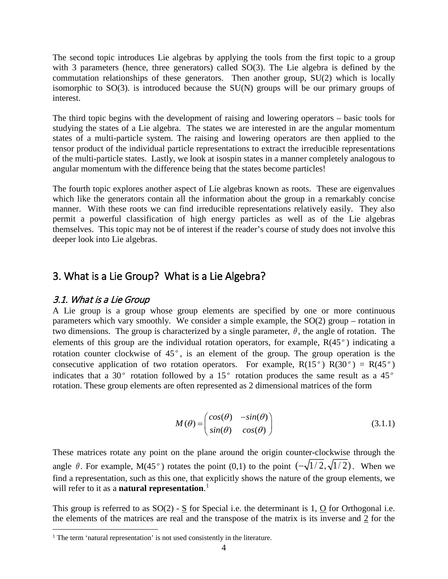The second topic introduces Lie algebras by applying the tools from the first topic to a group with 3 parameters (hence, three generators) called SO(3). The Lie algebra is defined by the commutation relationships of these generators. Then another group, SU(2) which is locally isomorphic to SO(3). is introduced because the SU(N) groups will be our primary groups of interest.

The third topic begins with the development of raising and lowering operators – basic tools for studying the states of a Lie algebra. The states we are interested in are the angular momentum states of a multi-particle system. The raising and lowering operators are then applied to the tensor product of the individual particle representations to extract the irreducible representations of the multi-particle states. Lastly, we look at isospin states in a manner completely analogous to angular momentum with the difference being that the states become particles!

The fourth topic explores another aspect of Lie algebras known as roots. These are eigenvalues which like the generators contain all the information about the group in a remarkably concise manner. With these roots we can find irreducible representations relatively easily. They also permit a powerful classification of high energy particles as well as of the Lie algebras themselves. This topic may not be of interest if the reader's course of study does not involve this deeper look into Lie algebras.

# <span id="page-3-0"></span>3. What is a Lie Group? What is a Lie Algebra?

#### <span id="page-3-1"></span>3.1. What is a Lie Group

A Lie group is a group whose group elements are specified by one or more continuous parameters which vary smoothly. We consider a simple example, the SO(2) group – rotation in two dimensions. The group is characterized by a single parameter,  $\theta$ , the angle of rotation. The elements of this group are the individual rotation operators, for example, R(45 *<sup>o</sup>* ) indicating a rotation counter clockwise of 45<sup>°</sup>, is an element of the group. The group operation is the consecutive application of two rotation operators. For example,  $R(15^\circ) R(30^\circ) = R(45^\circ)$ indicates that a 30 $^{\circ}$  rotation followed by a 15 $^{\circ}$  rotation produces the same result as a 45 $^{\circ}$ rotation. These group elements are often represented as 2 dimensional matrices of the form

$$
M(\theta) = \begin{pmatrix} \cos(\theta) & -\sin(\theta) \\ \sin(\theta) & \cos(\theta) \end{pmatrix}
$$
 (3.1.1)

These matrices rotate any point on the plane around the origin counter-clockwise through the angle  $\theta$ . For example, M(45<sup>o</sup>) rotates the point (0,1) to the point  $\left(-\sqrt{1/2}, \sqrt{1/2}\right)$ . When we find a representation, such as this one, that explicitly shows the nature of the group elements, we will refer to it as a **natural representation**. [1](#page-3-2)

This group is referred to as SO(2) - S for Special i.e. the determinant is 1, O for Orthogonal i.e. the elements of the matrices are real and the transpose of the matrix is its inverse and  $\frac{2}{3}$  for the

<span id="page-3-2"></span><sup>&</sup>lt;sup>1</sup> The term 'natural representation' is not used consistently in the literature.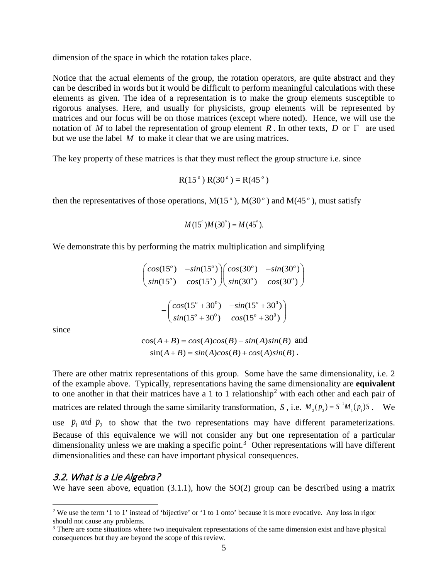dimension of the space in which the rotation takes place.

Notice that the actual elements of the group, the rotation operators, are quite abstract and they can be described in words but it would be difficult to perform meaningful calculations with these elements as given. The idea of a representation is to make the group elements susceptible to rigorous analyses. Here, and usually for physicists, group elements will be represented by matrices and our focus will be on those matrices (except where noted). Hence, we will use the notation of *M* to label the representation of group element *R* . In other texts, *D* or Γ are used but we use the label *M* to make it clear that we are using matrices.

The key property of these matrices is that they must reflect the group structure i.e. since

$$
R(15^{\circ}) R(30^{\circ}) = R(45^{\circ})
$$

then the representatives of those operations,  $M(15^\circ)$ ,  $M(30^\circ)$  and  $M(45^\circ)$ , must satisfy

$$
M(15^{\circ})M(30^{\circ}) = M(45^{\circ}).
$$

We demonstrate this by performing the matrix multiplication and simplifying

$$
\begin{pmatrix}\n\cos(15^\circ) & -\sin(15^\circ) \\
\sin(15^\circ) & \cos(15^\circ)\n\end{pmatrix}\n\begin{pmatrix}\n\cos(30^\circ) & -\sin(30^\circ) \\
\sin(30^\circ) & \cos(30^\circ)\n\end{pmatrix}
$$
\n
$$
= \begin{pmatrix}\n\cos(15^\circ + 30^\circ) & -\sin(15^\circ + 30^\circ) \\
\sin(15^\circ + 30^\circ) & \cos(15^\circ + 30^\circ)\n\end{pmatrix}
$$

since

 $cos(A+B) = cos(A)cos(B) - sin(A)sin(B)$  and  $sin(A+B) = sin(A)cos(B) + cos(A)sin(B)$ .

There are other matrix representations of this group. Some have the same dimensionality, i.e. 2 of the example above. Typically, representations having the same dimensionality are **equivalent** to one another in that their matrices have a 1 to 1 relationship<sup>[2](#page-4-1)</sup> with each other and each pair of matrices are related through the same similarity transformation, *S*, i.e.  $M_2(p_2) = S^{-1}M_1(p_1)S$ . We use  $p_1$  *and*  $p_2$  to show that the two representations may have different parameterizations. Because of this equivalence we will not consider any but one representation of a particular dimensionality unless we are making a specific point.<sup>[3](#page-4-2)</sup> Other representations will have different dimensionalities and these can have important physical consequences.

#### <span id="page-4-0"></span>3.2. What is a Lie Algebra?

We have seen above, equation (3.1.1), how the SO(2) group can be described using a matrix

<span id="page-4-1"></span><sup>&</sup>lt;sup>2</sup> We use the term '1 to 1' instead of 'bijective' or '1 to 1 onto' because it is more evocative. Any loss in rigor should not cause any problems.

<span id="page-4-2"></span><sup>&</sup>lt;sup>3</sup> There are some situations where two inequivalent representations of the same dimension exist and have physical consequences but they are beyond the scope of this review.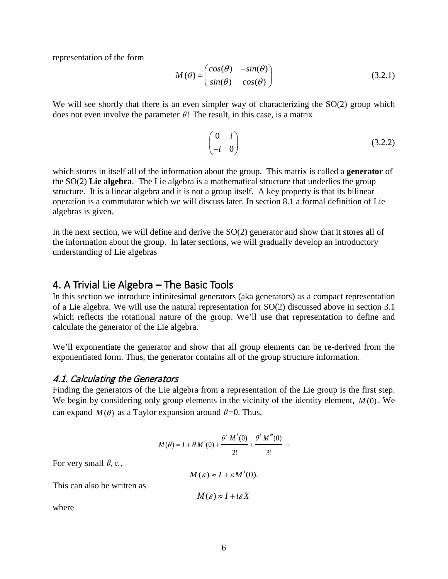representation of the form

$$
M(\theta) = \begin{pmatrix} cos(\theta) & -sin(\theta) \\ sin(\theta) & cos(\theta) \end{pmatrix}
$$
 (3.2.1)

We will see shortly that there is an even simpler way of characterizing the SO(2) group which does not even involve the parameter  $\theta$ ! The result, in this case, is a matrix

$$
\begin{pmatrix} 0 & i \\ -i & 0 \end{pmatrix} \tag{3.2.2}
$$

which stores in itself all of the information about the group. This matrix is called a **generator** of the SO(2) **Lie algebra**. The Lie algebra is a mathematical structure that underlies the group structure. It is a linear algebra and it is not a group itself. A key property is that its bilinear operation is a commutator which we will discuss later. In section 8.1 a formal definition of Lie algebras is given.

In the next section, we will define and derive the SO(2) generator and show that it stores all of the information about the group. In later sections, we will gradually develop an introductory understanding of Lie algebras

### <span id="page-5-0"></span>4. A Trivial Lie Algebra – The Basic Tools

In this section we introduce infinitesimal generators (aka generators) as a compact representation of a Lie algebra. We will use the natural representation for  $SO(2)$  discussed above in section 3.1 which reflects the rotational nature of the group. We'll use that representation to define and calculate the generator of the Lie algebra.

We'll exponentiate the generator and show that all group elements can be re-derived from the exponentiated form. Thus, the generator contains all of the group structure information.

#### <span id="page-5-1"></span>4.1. Calculating the Generators

Finding the generators of the Lie algebra from a representation of the Lie group is the first step. We begin by considering only group elements in the vicinity of the identity element, *M* (0). We can expand  $M(\theta)$  as a Taylor expansion around  $\theta = 0$ . Thus,

$$
M(\theta) = I + \theta M'(0) + \frac{\theta^2 M''(0)}{2!} + \frac{\theta^3 M'''(0)}{3!} \cdots
$$

For very small  $\theta$ ,  $\varepsilon$ ,

 $M(\varepsilon) \approx I + \varepsilon M'(0)$ .

This can also be written as

$$
M(\varepsilon) \approx I + i\varepsilon X
$$

where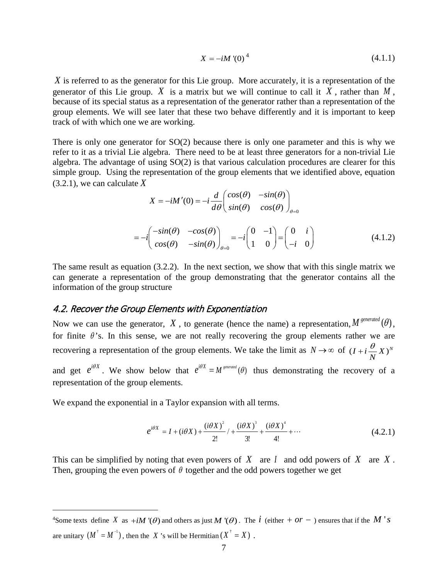$$
X = -iM'(0)^4
$$
 (4.1.1)

*X* is referred to as the generator for this Lie group. More accurately, it is a representation of the generator of this Lie group. *X* is a matrix but we will continue to call it  $X$ , rather than  $M$ , because of its special status as a representation of the generator rather than a representation of the group elements. We will see later that these two behave differently and it is important to keep track of with which one we are working.

There is only one generator for SO(2) because there is only one parameter and this is why we refer to it as a trivial Lie algebra. There need to be at least three generators for a non-trivial Lie algebra. The advantage of using SO(2) is that various calculation procedures are clearer for this simple group. Using the representation of the group elements that we identified above, equation (3.2.1), we can calculate *X*

$$
X = -iM'(0) = -i\frac{d}{d\theta} \begin{pmatrix} cos(\theta) & -sin(\theta) \\ sin(\theta) & cos(\theta) \end{pmatrix}_{\theta=0}
$$

$$
= -i \begin{pmatrix} -sin(\theta) & -cos(\theta) \\ cos(\theta) & -sin(\theta) \end{pmatrix}_{\theta=0} = -i \begin{pmatrix} 0 & -1 \\ 1 & 0 \end{pmatrix} = \begin{pmatrix} 0 & i \\ -i & 0 \end{pmatrix}
$$
(4.1.2)

The same result as equation (3.2.2). In the next section, we show that with this single matrix we can generate a representation of the group demonstrating that the generator contains all the information of the group structure

#### <span id="page-6-0"></span>4.2. Recover the Group Elements with Exponentiation

Now we can use the generator,  $X$ , to generate (hence the name) a representation,  $M^{generated}(\theta)$ , for finite  $\theta$ 's. In this sense, we are not really recovering the group elements rather we are recovering a representation of the group elements. We take the limit as  $N \to \infty$  of  $(I + i\frac{\sigma}{N}X)^N$ *N*  $+i\frac{\theta}{\cdot}$ 

and get  $e^{i\theta X}$ . We show below that  $e^{i\theta X} = M^{general}(\theta)$  thus demonstrating the recovery of a representation of the group elements.

We expand the exponential in a Taylor expansion with all terms.

$$
e^{i\theta X} = I + (i\theta X) + \frac{(i\theta X)^2}{2!} / + \frac{(i\theta X)^3}{3!} + \frac{(i\theta X)^4}{4!} + \cdots
$$
 (4.2.1)

This can be simplified by noting that even powers of *X* are *I* and odd powers of *X* are *X* . Then, grouping the even powers of  $\theta$  together and the odd powers together we get

<span id="page-6-1"></span> $\frac{1}{4}$ <sup>4</sup>Some texts define *X* as  $+iM'(\theta)$  and others as just M'( $\theta$ ). The *i* (either +  $\theta r - \theta$ ) ensures that if the M's are unitary  $(M^{\dagger} = M^{-1})$ , then the *X* 's will be Hermitian  $(X^{\dagger} = X)$ .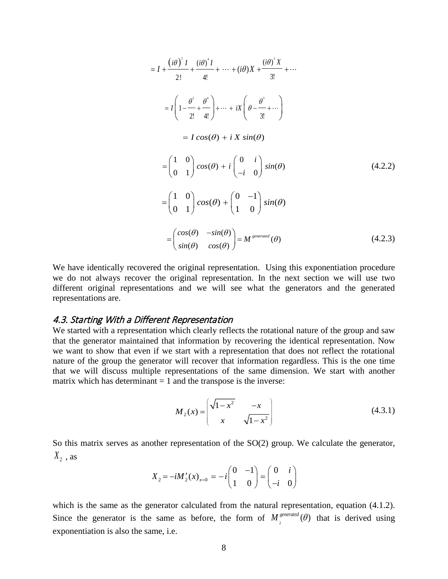$$
= I + \frac{(i\theta)^2 I}{2!} + \frac{(i\theta)^4 I}{4!} + \dots + (i\theta) X + \frac{(i\theta)^3 X}{3!} + \dots
$$
  
\n
$$
= I \left( 1 - \frac{\theta^2}{2!} + \frac{\theta^4}{4!} \right) + \dots + iX \left( \theta - \frac{\theta^3}{3!} + \dots \right)
$$
  
\n
$$
= I \cos(\theta) + i X \sin(\theta)
$$
  
\n
$$
= \begin{pmatrix} 1 & 0 \\ 0 & 1 \end{pmatrix} \cos(\theta) + i \begin{pmatrix} 0 & i \\ -i & 0 \end{pmatrix} \sin(\theta)
$$
  
\n
$$
= \begin{pmatrix} 1 & 0 \\ 0 & 1 \end{pmatrix} \cos(\theta) + \begin{pmatrix} 0 & -1 \\ 1 & 0 \end{pmatrix} \sin(\theta)
$$
  
\n
$$
= \begin{pmatrix} \cos(\theta) & -\sin(\theta) \\ \sin(\theta) & \cos(\theta) \end{pmatrix} = M^{\text{generated}}(\theta)
$$
 (4.2.3)

We have identically recovered the original representation. Using this exponentiation procedure we do not always recover the original representation. In the next section we will use two different original representations and we will see what the generators and the generated representations are.

### <span id="page-7-0"></span>4.3. Starting With a Different Representation

We started with a representation which clearly reflects the rotational nature of the group and saw that the generator maintained that information by recovering the identical representation. Now we want to show that even if we start with a representation that does not reflect the rotational nature of the group the generator will recover that information regardless. This is the one time that we will discuss multiple representations of the same dimension. We start with another matrix which has determinant  $= 1$  and the transpose is the inverse:

$$
M_2(x) = \begin{pmatrix} \sqrt{1-x^2} & -x \\ x & \sqrt{1-x^2} \end{pmatrix}
$$
 (4.3.1)

So this matrix serves as another representation of the SO(2) group. We calculate the generator,  $X_2$  , as

$$
X_2 = -iM'_2(x)_{x=0} = -i\begin{pmatrix} 0 & -1 \\ 1 & 0 \end{pmatrix} = \begin{pmatrix} 0 & i \\ -i & 0 \end{pmatrix}
$$

which is the same as the generator calculated from the natural representation, equation (4.1.2). Since the generator is the same as before, the form of  $M_2^{generated}(\theta)$  that is derived using exponentiation is also the same, i.e.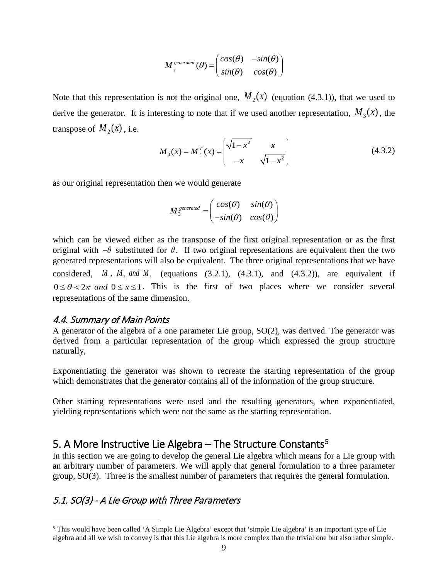$$
M_{2}^{\text{generated}}(\theta) = \begin{pmatrix} cos(\theta) & -sin(\theta) \\ sin(\theta) & cos(\theta) \end{pmatrix}
$$

Note that this representation is not the original one,  $M_2(x)$  (equation (4.3.1)), that we used to derive the generator. It is interesting to note that if we used another representation,  $M_3(x)$ , the transpose of  $M_2(x)$ , i.e.

$$
M_3(x) = M_2^T(x) = \begin{pmatrix} \sqrt{1 - x^2} & x \\ -x & \sqrt{1 - x^2} \end{pmatrix}
$$
 (4.3.2)

as our original representation then we would generate

$$
M_{3}^{\text{generated}} = \begin{pmatrix} cos(\theta) & sin(\theta) \\ -sin(\theta) & cos(\theta) \end{pmatrix}
$$

which can be viewed either as the transpose of the first original representation or as the first original with  $-\theta$  substituted for  $\theta$ . If two original representations are equivalent then the two generated representations will also be equivalent. The three original representations that we have considered,  $M_1$ ,  $M_2$  and  $M_3$  (equations (3.2.1), (4.3.1), and (4.3.2)), are equivalent if  $0 \le \theta < 2\pi$  and  $0 \le x \le 1$ . This is the first of two places where we consider several representations of the same dimension.

#### <span id="page-8-0"></span>4.4. Summary of Main Points

A generator of the algebra of a one parameter Lie group, SO(2), was derived. The generator was derived from a particular representation of the group which expressed the group structure naturally,

Exponentiating the generator was shown to recreate the starting representation of the group which demonstrates that the generator contains all of the information of the group structure.

Other starting representations were used and the resulting generators, when exponentiated, yielding representations which were not the same as the starting representation.

# <span id="page-8-1"></span>[5](#page-8-3). A More Instructive Lie Algebra – The Structure Constants<sup>5</sup>

In this section we are going to develop the general Lie algebra which means for a Lie group with an arbitrary number of parameters. We will apply that general formulation to a three parameter group, SO(3). Three is the smallest number of parameters that requires the general formulation.

# <span id="page-8-2"></span>5.1. SO(3) - A Lie Group with Three Parameters

<span id="page-8-3"></span> <sup>5</sup> This would have been called 'A Simple Lie Algebra' except that 'simple Lie algebra' is an important type of Lie algebra and all we wish to convey is that this Lie algebra is more complex than the trivial one but also rather simple.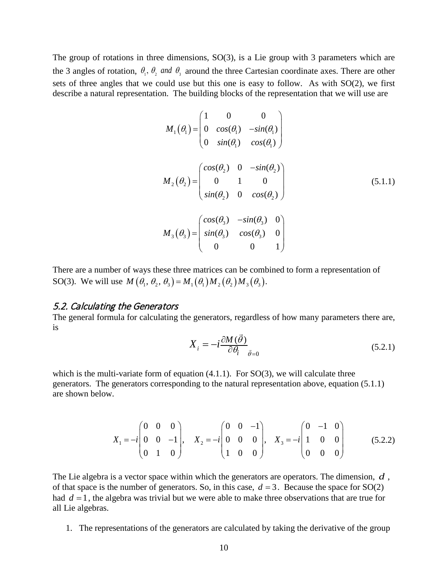The group of rotations in three dimensions, SO(3), is a Lie group with 3 parameters which are the 3 angles of rotation,  $\theta_1$ ,  $\theta_2$  and  $\theta_3$  around the three Cartesian coordinate axes. There are other sets of three angles that we could use but this one is easy to follow. As with SO(2), we first describe a natural representation. The building blocks of the representation that we will use are

$$
M_1(\theta_1) = \begin{pmatrix} 1 & 0 & 0 \\ 0 & cos(\theta_1) & -sin(\theta_1) \\ 0 & sin(\theta_1) & cos(\theta_1) \end{pmatrix}
$$
  
\n
$$
M_2(\theta_2) = \begin{pmatrix} cos(\theta_2) & 0 & -sin(\theta_2) \\ 0 & 1 & 0 \\ sin(\theta_2) & 0 & cos(\theta_2) \end{pmatrix}
$$
  
\n
$$
M_3(\theta_3) = \begin{pmatrix} cos(\theta_3) & -sin(\theta_3) & 0 \\ sin(\theta_3) & cos(\theta_3) & 0 \\ 0 & 0 & 1 \end{pmatrix}
$$
 (5.1.1)

There are a number of ways these three matrices can be combined to form a representation of SO(3). We will use  $M(\theta_1, \theta_2, \theta_3) = M_1(\theta_1) M_2(\theta_2) M_3(\theta_3)$ .

#### <span id="page-9-0"></span>5.2. Calculating the Generators

The general formula for calculating the generators, regardless of how many parameters there are, is  $\overrightarrow{z}$ 

$$
X_i = -i\frac{\partial M(\vec{\theta})}{\partial \theta_i} \bar{g}_{=0}
$$
\n(5.2.1)

which is the multi-variate form of equation  $(4.1.1)$ . For  $SO(3)$ , we will calculate three generators. The generators corresponding to the natural representation above, equation (5.1.1) are shown below.

$$
X_1 = -i \begin{pmatrix} 0 & 0 & 0 \\ 0 & 0 & -1 \\ 0 & 1 & 0 \end{pmatrix}, \quad X_2 = -i \begin{pmatrix} 0 & 0 & -1 \\ 0 & 0 & 0 \\ 1 & 0 & 0 \end{pmatrix}, \quad X_3 = -i \begin{pmatrix} 0 & -1 & 0 \\ 1 & 0 & 0 \\ 0 & 0 & 0 \end{pmatrix}
$$
(5.2.2)

The Lie algebra is a vector space within which the generators are operators. The dimension, *d* , of that space is the number of generators. So, in this case,  $d = 3$ . Because the space for SO(2) had  $d = 1$ , the algebra was trivial but we were able to make three observations that are true for all Lie algebras.

1. The representations of the generators are calculated by taking the derivative of the group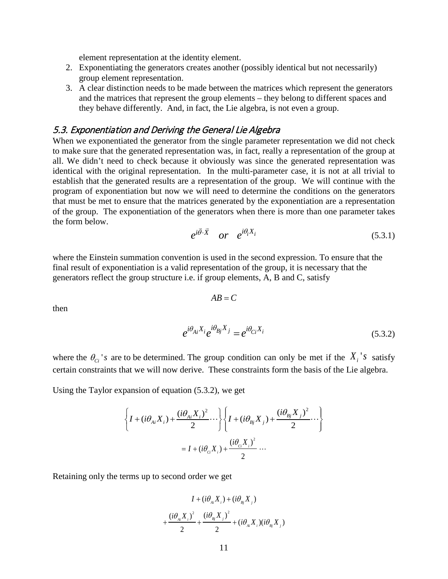element representation at the identity element.

- 2. Exponentiating the generators creates another (possibly identical but not necessarily) group element representation.
- 3. A clear distinction needs to be made between the matrices which represent the generators and the matrices that represent the group elements – they belong to different spaces and they behave differently. And, in fact, the Lie algebra, is not even a group.

# <span id="page-10-0"></span>5.3. Exponentiation and Deriving the General Lie Algebra

When we exponentiated the generator from the single parameter representation we did not check to make sure that the generated representation was, in fact, really a representation of the group at all. We didn't need to check because it obviously was since the generated representation was identical with the original representation. In the multi-parameter case, it is not at all trivial to establish that the generated results are a representation of the group. We will continue with the program of exponentiation but now we will need to determine the conditions on the generators that must be met to ensure that the matrices generated by the exponentiation are a representation of the group. The exponentiation of the generators when there is more than one parameter takes the form below.

$$
e^{i\vec{\theta}\cdot\vec{X}} \quad or \quad e^{i\theta_i X_i} \tag{5.3.1}
$$

where the Einstein summation convention is used in the second expression. To ensure that the final result of exponentiation is a valid representation of the group, it is necessary that the generators reflect the group structure i.e. if group elements, A, B and C, satisfy

 $AB = C$ 

then

$$
e^{i\theta_{Ai}X_i}e^{i\theta_{Bj}X_j} = e^{i\theta_{Ci}X_i}
$$
\n(5.3.2)

where the  $\theta_{ci}$ 's are to be determined. The group condition can only be met if the  $X_i$ 's satisfy certain constraints that we will now derive. These constraints form the basis of the Lie algebra.

Using the Taylor expansion of equation (5.3.2), we get

$$
\left\{ I + (i\theta_{Ai}X_i) + \frac{(i\theta_{Ai}X_i)^2}{2} \cdots \right\} \left\{ I + (i\theta_{Bj}X_j) + \frac{(i\theta_{Bj}X_j)^2}{2} \cdots \right\}
$$
  
=  $I + (i\theta_{ci}X_i) + \frac{(i\theta_{ci}X_i)^2}{2} \cdots$ 

Retaining only the terms up to second order we get

$$
I + (i\theta_{_{Ai}}X_{_i}) + (i\theta_{_{Bj}}X_{_j})
$$
  
+ 
$$
\frac{(i\theta_{_{Ai}}X_{_i})^2}{2} + \frac{(i\theta_{_{Bj}}X_{_j})^2}{2} + (i\theta_{_{Ai}}X_{_i})(i\theta_{_{Bj}}X_{_j})
$$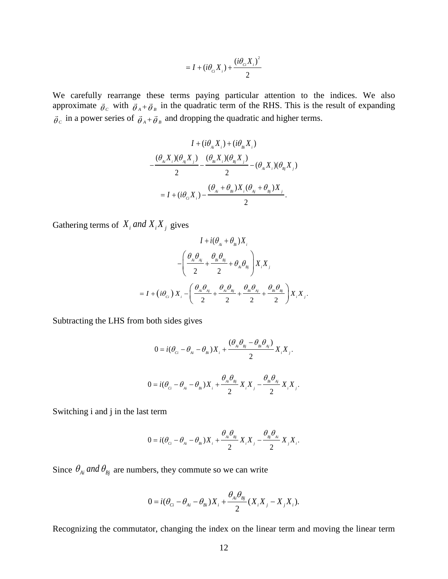$$
= I + (i\theta_{ci}X_i) + \frac{(i\theta_{ci}X_i)^2}{2}
$$

We carefully rearrange these terms paying particular attention to the indices. We also approximate  $\vec{\theta}_c$  with  $\vec{\theta}_A + \vec{\theta}_B$  in the quadratic term of the RHS. This is the result of expanding  $\vec{\theta}_c$  in a power series of  $\vec{\theta}_A + \vec{\theta}_B$  and dropping the quadratic and higher terms.

$$
I + (i\theta_{Ai}X_i) + (i\theta_{Bi}X_i)
$$
  

$$
-\frac{(\theta_{Ai}X_i)(\theta_{Ai}X_j)}{2} - \frac{(\theta_{Bi}X_i)(\theta_{Bi}X_j)}{2} - (\theta_{Ai}X_i)(\theta_{Bi}X_j)
$$
  

$$
= I + (i\theta_{ci}X_i) - \frac{(\theta_{Ai} + \theta_{Bi})X_i(\theta_{Ai} + \theta_{Bi})X_j}{2}.
$$

Gathering terms of  $X_i$  and  $X_i X_j$  gives

$$
I + i(\theta_{Ai} + \theta_{Bi})X_{i}
$$
  

$$
-\left(\frac{\theta_{Ai}\theta_{Aj}}{2} + \frac{\theta_{Bi}\theta_{Bj}}{2} + \theta_{Ai}\theta_{Bj}\right)X_{i}X_{j}
$$
  

$$
= I + (i\theta_{ci}) X_{i} - \left(\frac{\theta_{Ai}\theta_{Aj}}{2} + \frac{\theta_{Ai}\theta_{Bj}}{2} + \frac{\theta_{Bi}\theta_{Aj}}{2} + \frac{\theta_{Bi}\theta_{Bj}}{2}\right)X_{i}X_{j}.
$$

Subtracting the LHS from both sides gives

$$
0 = i(\theta_{ci} - \theta_{Ai} - \theta_{Bi})X_i + \frac{(\theta_{Ai}\theta_{Bj} - \theta_{Bi}\theta_{Aj})}{2}X_iX_j.
$$
  

$$
0 = i(\theta_{ci} - \theta_{Ai} - \theta_{Bi})X_i + \frac{\theta_{Ai}\theta_{Bj}}{2}X_iX_j - \frac{\theta_{Bi}\theta_{Aj}}{2}X_iX_j.
$$

Switching i and j in the last term

$$
0 = i(\theta_{ci} - \theta_{ai} - \theta_{Bi})X_i + \frac{\theta_{ai}\theta_{bj}}{2}X_iX_j - \frac{\theta_{bj}\theta_{ai}}{2}X_jX_i.
$$

Since  $\theta_{Ai}$  and  $\theta_{Bj}$  are numbers, they commute so we can write

$$
0 = i(\theta_{ci} - \theta_{Ai} - \theta_{Bi})X_i + \frac{\theta_{Ai}\theta_{Bj}}{2}(X_iX_j - X_jX_i).
$$

Recognizing the commutator, changing the index on the linear term and moving the linear term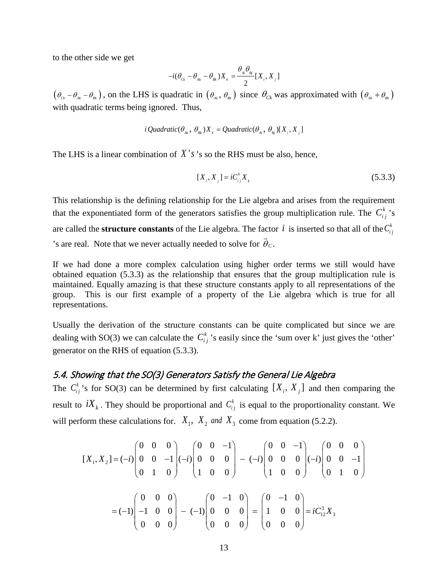to the other side we get

$$
-i(\theta_{_{Ck}}-\theta_{_{Ak}}-\theta_{_{Bk}})X_{_{k}}=\frac{\theta_{_{Ai}}\theta_{_{Bj}}}{2}[X_{_{i}},X_{_{j}}]
$$

 $(\theta_{c_k} - \theta_{a_k} - \theta_{b_k})$ , on the LHS is quadratic in  $(\theta_{a_k}, \theta_{b_k})$  since  $\theta_{c_k}$  was approximated with  $(\theta_{a_k} + \theta_{b_k})$ with quadratic terms being ignored. Thus,

$$
i\,\mathcal{Q}uadratic(\theta_{_{Ak}},\,\theta_{_{Bk}})X_{_{k}} = \mathcal{Q}uadratic(\theta_{_{Ai}},\,\theta_{_{Bj}})[X_{_{i}},X_{_{j}}]
$$

The LHS is a linear combination of  $X'$  s's so the RHS must be also, hence,

$$
[X_i, X_j] = iC_{ij}^k X_k
$$
\n(5.3.3)

This relationship is the defining relationship for the Lie algebra and arises from the requirement that the exponentiated form of the generators satisfies the group multiplication rule. The  $C_i^k$  's are called the **structure constants** of the Lie algebra. The factor *i* is inserted so that all of the  $C_{i}^{k}$ 's are real. Note that we never actually needed to solve for  $\vec{\theta}_C$ .

If we had done a more complex calculation using higher order terms we still would have obtained equation (5.3.3) as the relationship that ensures that the group multiplication rule is maintained. Equally amazing is that these structure constants apply to all representations of the group. This is our first example of a property of the Lie algebra which is true for all representations.

Usually the derivation of the structure constants can be quite complicated but since we are dealing with SO(3) we can calculate the  $C_{ij}^k$  's easily since the 'sum over k' just gives the 'other' generator on the RHS of equation (5.3.3).

# <span id="page-12-0"></span>5.4. Showing that the SO(3) Generators Satisfy the General Lie Algebra

The  $C_{ij}^k$  's for SO(3) can be determined by first calculating  $[X_i, X_j]$  and then comparing the result to  $iX_k$ . They should be proportional and  $C_{ij}^k$  is equal to the proportionality constant. We will perform these calculations for.  $X_1$ ,  $X_2$  *and*  $X_3$  come from equation (5.2.2).

$$
[X_1, X_2] = (-i) \begin{pmatrix} 0 & 0 & 0 \\ 0 & 0 & -1 \\ 0 & 1 & 0 \end{pmatrix} (-i) \begin{pmatrix} 0 & 0 & -1 \\ 0 & 0 & 0 \\ 1 & 0 & 0 \end{pmatrix} - (-i) \begin{pmatrix} 0 & 0 & -1 \\ 0 & 0 & 0 \\ 1 & 0 & 0 \end{pmatrix} (-i) \begin{pmatrix} 0 & 0 & 0 \\ 0 & 0 & -1 \\ 0 & 1 & 0 \end{pmatrix}
$$

$$
= (-1) \begin{pmatrix} 0 & 0 & 0 \\ -1 & 0 & 0 \\ 0 & 0 & 0 \end{pmatrix} - (-1) \begin{pmatrix} 0 & -1 & 0 \\ 0 & 0 & 0 \\ 0 & 0 & 0 \end{pmatrix} = \begin{pmatrix} 0 & -1 & 0 \\ 1 & 0 & 0 \\ 0 & 0 & 0 \end{pmatrix} = iC_{12}^3 X_3
$$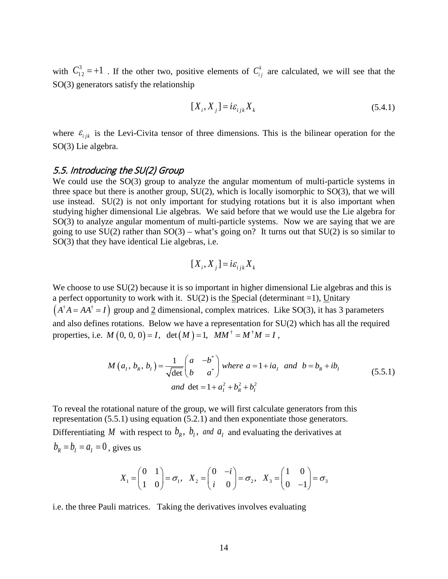with  $C_{12}^3 = +1$ . If the other two, positive elements of  $C_{ij}^k$  are calculated, we will see that the SO(3) generators satisfy the relationship

$$
[X_i, X_j] = i\varepsilon_{ijk} X_k
$$
\n(5.4.1)

where  $\varepsilon_{ijk}$  is the Levi-Civita tensor of three dimensions. This is the bilinear operation for the SO(3) Lie algebra.

#### <span id="page-13-0"></span>5.5. Introducing the SU(2) Group

We could use the SO(3) group to analyze the angular momentum of multi-particle systems in three space but there is another group,  $SU(2)$ , which is locally isomorphic to  $SO(3)$ , that we will use instead. SU(2) is not only important for studying rotations but it is also important when studying higher dimensional Lie algebras. We said before that we would use the Lie algebra for SO(3) to analyze angular momentum of multi-particle systems. Now we are saying that we are going to use  $SU(2)$  rather than  $SO(3)$  – what's going on? It turns out that  $SU(2)$  is so similar to SO(3) that they have identical Lie algebras, i.e.

$$
[X_i, X_j] = i\varepsilon_{ijk} X_k
$$

We choose to use  $SU(2)$  because it is so important in higher dimensional Lie algebras and this is a perfect opportunity to work with it.  $SU(2)$  is the Special (determinant =1), Unitary  $(A^{\dagger} A = AA^{\dagger} = I)$  group and 2 dimensional, complex matrices. Like SO(3), it has 3 parameters and also defines rotations. Below we have a representation for SU(2) which has all the required properties, i.e.  $M ( 0, 0, 0 ) = I$ , det  $(M) = 1$ ,  $MM^{\dagger} = M^{\dagger} M = I$ ,

$$
M(a_1, b_R, b_1) = \frac{1}{\sqrt{\det}} \begin{pmatrix} a & -b^* \\ b & a^* \end{pmatrix} \text{ where } a = 1 + ia_1 \text{ and } b = b_R + ib_1
$$
  
and  $\det = 1 + a_1^2 + b_R^2 + b_1^2$  (5.5.1)

To reveal the rotational nature of the group, we will first calculate generators from this representation (5.5.1) using equation (5.2.1) and then exponentiate those generators. Differentiating *M* with respect to  $b_R$ ,  $b_I$ , and  $a_I$  and evaluating the derivatives at  $b_R = b_I = a_I = 0$ , gives us

$$
X_1 = \begin{pmatrix} 0 & 1 \\ 1 & 0 \end{pmatrix} = \sigma_1, \quad X_2 = \begin{pmatrix} 0 & -i \\ i & 0 \end{pmatrix} = \sigma_2, \quad X_3 = \begin{pmatrix} 1 & 0 \\ 0 & -1 \end{pmatrix} = \sigma_3
$$

i.e. the three Pauli matrices. Taking the derivatives involves evaluating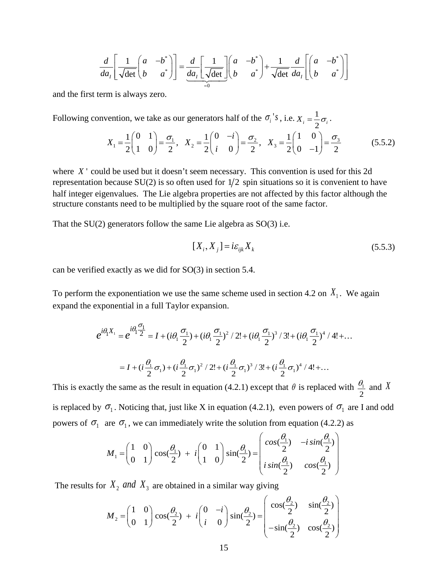$$
\frac{d}{da_I} \left[ \frac{1}{\sqrt{\det}} \begin{pmatrix} a & -b^* \\ b & a^* \end{pmatrix} \right] = \frac{d}{da_I} \left[ \frac{1}{\sqrt{\det}} \right] \begin{pmatrix} a & -b^* \\ b & a^* \end{pmatrix} + \frac{1}{\sqrt{\det}} \frac{d}{da_I} \left[ \begin{pmatrix} a & -b^* \\ b & a^* \end{pmatrix} \right]
$$

and the first term is always zero.

Following convention, we take as our generators half of the 
$$
\sigma_i
$$
's, i.e.  $X_i = \frac{1}{2}\sigma_i$ .  
\n
$$
X_1 = \frac{1}{2} \begin{pmatrix} 0 & 1 \\ 1 & 0 \end{pmatrix} = \frac{\sigma_1}{2}, \quad X_2 = \frac{1}{2} \begin{pmatrix} 0 & -i \\ i & 0 \end{pmatrix} = \frac{\sigma_2}{2}, \quad X_3 = \frac{1}{2} \begin{pmatrix} 1 & 0 \\ 0 & -1 \end{pmatrix} = \frac{\sigma_3}{2}
$$
(5.5.2)

where *X* ' could be used but it doesn't seem necessary. This convention is used for this 2d representation because  $SU(2)$  is so often used for  $1/2$  spin situations so it is convenient to have half integer eigenvalues. The Lie algebra properties are not affected by this factor although the structure constants need to be multiplied by the square root of the same factor.

That the  $SU(2)$  generators follow the same Lie algebra as  $SO(3)$  i.e.

$$
[X_i, X_j] = i\varepsilon_{ijk} X_k
$$
\n(5.5.3)

can be verified exactly as we did for SO(3) in section 5.4.

To perform the exponentiation we use the same scheme used in section 4.2 on  $X_1$ . We again expand the exponential in a full Taylor expansion.

$$
e^{i\theta_1 X_1} = e^{i\theta_1 \frac{\sigma_1}{2}} = I + (i\theta_1 \frac{\sigma_1}{2}) + (i\theta_1 \frac{\sigma_1}{2})^2 / 2! + (i\theta_1 \frac{\sigma_1}{2})^3 / 3! + (i\theta_1 \frac{\sigma_1}{2})^4 / 4! + ...
$$
  
=  $I + (i\frac{\theta_1}{2}\sigma_1) + (i\frac{\theta_1}{2}\sigma_1)^2 / 2! + (i\frac{\theta_1}{2}\sigma_1)^3 / 3! + (i\frac{\theta_1}{2}\sigma_1)^4 / 4! + ...$ 

This is exactly the same as the result in equation (4.2.1) except that  $\theta$  is replaced with  $\frac{v_1}{v_2}$ 2  $\frac{\theta_1}{\theta_1}$  and X is replaced by  $\sigma_1$ . Noticing that, just like X in equation (4.2.1), even powers of  $\sigma_1$  are I and odd powers of  $\sigma_1$  are  $\sigma_1$ , we can immediately write the solution from equation (4.2.2) as

$$
M_1 = \begin{pmatrix} 1 & 0 \\ 0 & 1 \end{pmatrix} \cos(\frac{\theta_1}{2}) + i \begin{pmatrix} 0 & 1 \\ 1 & 0 \end{pmatrix} \sin(\frac{\theta_1}{2}) = \begin{pmatrix} \cos(\frac{\theta_1}{2}) & -i\sin(\frac{\theta_1}{2}) \\ i\sin(\frac{\theta_1}{2}) & \cos(\frac{\theta_1}{2}) \end{pmatrix}
$$

The results for  $X_2$  and  $X_3$  are obtained in a similar way giving

$$
M_2 = \begin{pmatrix} 1 & 0 \\ 0 & 1 \end{pmatrix} \cos(\frac{\theta_2}{2}) + i \begin{pmatrix} 0 & -i \\ i & 0 \end{pmatrix} \sin(\frac{\theta_2}{2}) = \begin{pmatrix} \cos(\frac{\theta_2}{2}) & \sin(\frac{\theta_2}{2}) \\ -\sin(\frac{\theta_2}{2}) & \cos(\frac{\theta_2}{2}) \end{pmatrix}
$$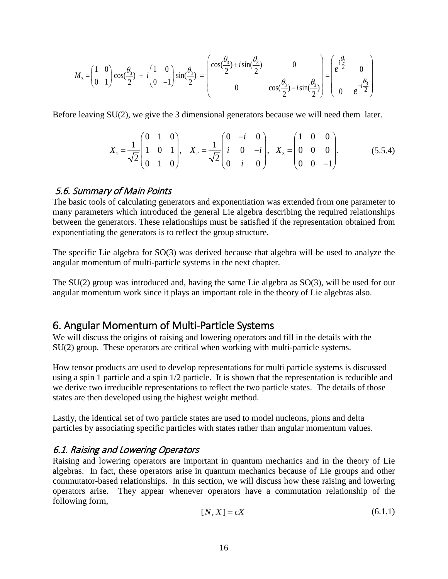$$
M_3 = \begin{pmatrix} 1 & 0 \\ 0 & 1 \end{pmatrix} \cos(\frac{\theta_3}{2}) + i \begin{pmatrix} 1 & 0 \\ 0 & -1 \end{pmatrix} \sin(\frac{\theta_3}{2}) = \begin{pmatrix} \cos(\frac{\theta_3}{2}) + i \sin(\frac{\theta_3}{2}) & 0 \\ 0 & \cos(\frac{\theta_3}{2}) - i \sin(\frac{\theta_3}{2}) \end{pmatrix} = \begin{pmatrix} \frac{\theta_3}{2} & 0 \\ e^{-\frac{\theta_3}{2}} & 0 \\ 0 & e^{-\frac{\theta_3}{2}} \end{pmatrix}
$$

Before leaving SU(2), we give the 3 dimensional generators because we will need them later.

$$
X_1 = \frac{1}{\sqrt{2}} \begin{pmatrix} 0 & 1 & 0 \\ 1 & 0 & 1 \\ 0 & 1 & 0 \end{pmatrix}, \quad X_2 = \frac{1}{\sqrt{2}} \begin{pmatrix} 0 & -i & 0 \\ i & 0 & -i \\ 0 & i & 0 \end{pmatrix}, \quad X_3 = \begin{pmatrix} 1 & 0 & 0 \\ 0 & 0 & 0 \\ 0 & 0 & -1 \end{pmatrix}.
$$
 (5.5.4)

#### <span id="page-15-0"></span>5.6. Summary of Main Points

The basic tools of calculating generators and exponentiation was extended from one parameter to many parameters which introduced the general Lie algebra describing the required relationships between the generators. These relationships must be satisfied if the representation obtained from exponentiating the generators is to reflect the group structure.

The specific Lie algebra for SO(3) was derived because that algebra will be used to analyze the angular momentum of multi-particle systems in the next chapter.

The SU(2) group was introduced and, having the same Lie algebra as SO(3), will be used for our angular momentum work since it plays an important role in the theory of Lie algebras also.

# <span id="page-15-1"></span>6. Angular Momentum of Multi-Particle Systems

We will discuss the origins of raising and lowering operators and fill in the details with the SU(2) group. These operators are critical when working with multi-particle systems.

How tensor products are used to develop representations for multi particle systems is discussed using a spin 1 particle and a spin 1/2 particle. It is shown that the representation is reducible and we derive two irreducible representations to reflect the two particle states. The details of those states are then developed using the highest weight method.

Lastly, the identical set of two particle states are used to model nucleons, pions and delta particles by associating specific particles with states rather than angular momentum values.

#### <span id="page-15-2"></span>6.1. Raising and Lowering Operators

Raising and lowering operators are important in quantum mechanics and in the theory of Lie algebras. In fact, these operators arise in quantum mechanics because of Lie groups and other commutator-based relationships. In this section, we will discuss how these raising and lowering operators arise. They appear whenever operators have a commutation relationship of the following form,

$$
[N, X] = cX \tag{6.1.1}
$$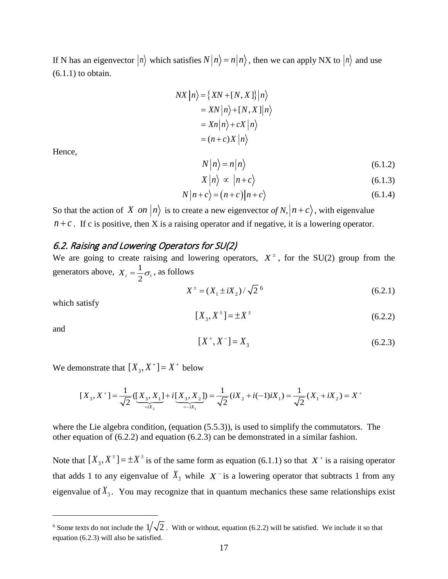If N has an eigenvector  $|n\rangle$  which satisfies  $N|n\rangle = n|n\rangle$ , then we can apply NX to  $|n\rangle$  and use (6.1.1) to obtain.

$$
NX | n \rangle = \{ XN + [N, X] \} | n \rangle
$$
  
=  $XN | n \rangle + [N, X] | n \rangle$   
=  $Xn | n \rangle + cX | n \rangle$   
=  $(n + c)X | n \rangle$ 

Hence,

$$
N|n\rangle = n|n\rangle \tag{6.1.2}
$$

$$
X|n\rangle \propto |n+c\rangle \tag{6.1.3}
$$

$$
N|n+c\rangle = (n+c)|n+c\rangle \tag{6.1.4}
$$

So that the action of *X on*  $|n\rangle$  is to create a new eigenvector of N,  $|n+c\rangle$ , with eigenvalue  $n + c$ . If c is positive, then X is a raising operator and if negative, it is a lowering operator.

#### <span id="page-16-0"></span>6.2. Raising and Lowering Operators for SU(2)

We are going to create raising and lowering operators,  $X^{\pm}$ , for the SU(2) group from the generators above,  $X_i = \frac{1}{2}$  $X_i = \frac{1}{2}\sigma_i$ , as follows

$$
X^{\pm} = (X_1 \pm iX_2) / \sqrt{2}^6 \tag{6.2.1}
$$

which satisfy

$$
[X_3, X^{\pm}] = \pm X^{\pm}
$$
 (6.2.2)

and

 $\overline{a}$ 

$$
[X^+, X^-] = X_3 \tag{6.2.3}
$$

We demonstrate that  $[X_3, X^+] = X^+$  below

$$
[X_3, X^+] = \frac{1}{\sqrt{2}} ([X_3, X_1] + i [X_3, X_2]) = \frac{1}{\sqrt{2}} (iX_2 + i(-1)iX_1) = \frac{1}{\sqrt{2}} (X_1 + iX_2) = X^+
$$

where the Lie algebra condition, (equation  $(5.5.3)$ ), is used to simplify the commutators. The other equation of (6.2.2) and equation (6.2.3) can be demonstrated in a similar fashion.

Note that  $[X_3, X^{\pm}] = \pm X^{\pm}$  is of the same form as equation (6.1.1) so that  $X^{\pm}$  is a raising operator that adds 1 to any eigenvalue of  $X_3$  while  $X^-$  is a lowering operator that subtracts 1 from any eigenvalue of  $X_3$ . You may recognize that in quantum mechanics these same relationships exist

<span id="page-16-1"></span><sup>&</sup>lt;sup>6</sup> Some texts do not include the  $1/\sqrt{2}$ . With or without, equation (6.2.2) will be satisfied. We include it so that equation (6.2.3) will also be satisfied.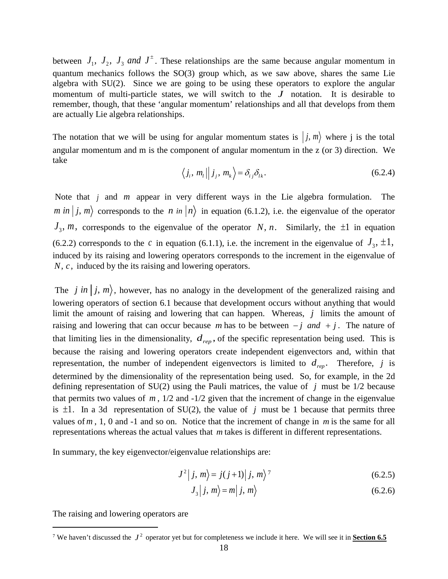between  $J_1$ ,  $J_2$ ,  $J_3$  and  $J^{\pm}$ . These relationships are the same because angular momentum in quantum mechanics follows the SO(3) group which, as we saw above, shares the same Lie algebra with SU(2). Since we are going to be using these operators to explore the angular momentum of multi-particle states, we will switch to the *J* notation. It is desirable to remember, though, that these 'angular momentum' relationships and all that develops from them are actually Lie algebra relationships.

The notation that we will be using for angular momentum states is  $|j, m\rangle$  where j is the total angular momentum and m is the component of angular momentum in the z (or 3) direction. We take

$$
\langle j_i, m_i || j_j, m_k \rangle = \delta_{ij} \delta_{lk}. \tag{6.2.4}
$$

Note that *j* and *m* appear in very different ways in the Lie algebra formulation. The *m in*  $|j, m\rangle$  corresponds to the *n in*  $|n\rangle$  in equation (6.1.2), i.e. the eigenvalue of the operator  $J_3$ , *m*, corresponds to the eigenvalue of the operator *N*, *n*. Similarly, the  $\pm 1$  in equation (6.2.2) corresponds to the *c* in equation (6.1.1), i.e. the increment in the eigenvalue of  $J_3$ ,  $\pm 1$ , induced by its raising and lowering operators corresponds to the increment in the eigenvalue of *N*, *c*, induced by the its raising and lowering operators.

The *j* in  $|j, m\rangle$ , however, has no analogy in the development of the generalized raising and lowering operators of section 6.1 because that development occurs without anything that would limit the amount of raising and lowering that can happen. Whereas, *j* limits the amount of raising and lowering that can occur because *m* has to be between  $-j$  *and*  $+j$ . The nature of that limiting lies in the dimensionality,  $d_{\text{ren}}$ , of the specific representation being used. This is because the raising and lowering operators create independent eigenvectors and, within that representation, the number of independent eigenvectors is limited to  $d_{\text{ren}}$ . Therefore, *j* is determined by the dimensionality of the representation being used. So, for example, in the 2d defining representation of SU(2) using the Pauli matrices, the value of *j* must be 1/2 because that permits two values of  $m$ ,  $1/2$  and  $-1/2$  given that the increment of change in the eigenvalue is  $\pm 1$ . In a 3d representation of SU(2), the value of *j* must be 1 because that permits three values of *m* , 1, 0 and -1 and so on. Notice that the increment of change in *m* is the same for all representations whereas the actual values that *m* takes is different in different representations.

In summary, the key eigenvector/eigenvalue relationships are:

$$
J^2|j,m\rangle = j(j+1)|j,m\rangle^7
$$
 (6.2.5)

$$
J_3|j,m\rangle = m|j,m\rangle \tag{6.2.6}
$$

The raising and lowering operators are

<span id="page-17-0"></span><sup>&</sup>lt;sup>7</sup> We haven't discussed the  $J^2$  operator yet but for completeness we include it here. We will see it in **Section 6.5**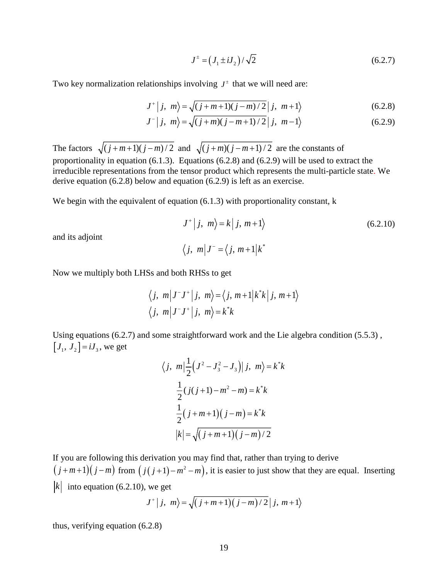$$
J^{\pm} = (J_1 \pm iJ_2) / \sqrt{2}
$$
 (6.2.7)

Two key normalization relationships involving  $J^{\pm}$  that we will need are:

$$
J^{+} | j, m \rangle = \sqrt{(j+m+1)(j-m)/2} | j, m+1 \rangle
$$
 (6.2.8)

$$
J^{-} | j, m \rangle = \sqrt{(j+m)(j-m+1)/2} | j, m-1 \rangle
$$
 (6.2.9)

The factors  $\sqrt{(j + m + 1)(j - m)/2}$  and  $\sqrt{(j + m)(j - m + 1)/2}$  are the constants of proportionality in equation (6.1.3). Equations (6.2.8) and (6.2.9) will be used to extract the irreducible representations from the tensor product which represents the multi-particle state. We derive equation (6.2.8) below and equation (6.2.9) is left as an exercise.

We begin with the equivalent of equation (6.1.3) with proportionality constant, k

$$
J^+|j, m\rangle = k|j, m+1\rangle
$$
\n
$$
\langle j, m|J^- = \langle j, m+1|k^*
$$
\n(6.2.10)

and its adjoint

$$
f_{\rm{max}}
$$

Now we multiply both LHSs and both RHSs to get

$$
\langle j, m | J^{\top} J^+ | j, m \rangle = \langle j, m+1 | k^* k | j, m+1 \rangle
$$
  

$$
\langle j, m | J^{\top} J^+ | j, m \rangle = k^* k
$$

Using equations (6.2.7) and some straightforward work and the Lie algebra condition (5.5.3) ,  $[J_1, J_2] = iJ_3$ , we get

$$
\langle j, m | \frac{1}{2} (J^2 - J_3^2 - J_3) | j, m \rangle = k^* k
$$
  

$$
\frac{1}{2} (j(j+1) - m^2 - m) = k^* k
$$
  

$$
\frac{1}{2} (j + m + 1) (j - m) = k^* k
$$
  

$$
|k| = \sqrt{(j + m + 1) (j - m)/2}
$$

If you are following this derivation you may find that, rather than trying to derive  $(j+m+1)(j-m)$  from  $(j(j+1)-m^2-m)$ , it is easier to just show that they are equal. Inserting  $|k|$  into equation (6.2.10), we get

$$
J^+|j, m\rangle = \sqrt{(j+m+1)(j-m)/2}|j, m+1\rangle
$$

thus, verifying equation (6.2.8)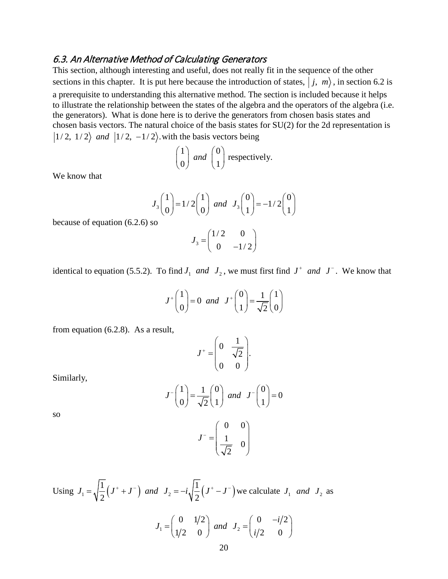#### <span id="page-19-0"></span>6.3. An Alternative Method of Calculating Generators

This section, although interesting and useful, does not really fit in the sequence of the other sections in this chapter. It is put here because the introduction of states,  $|j, m\rangle$ , in section 6.2 is a prerequisite to understanding this alternative method. The section is included because it helps to illustrate the relationship between the states of the algebra and the operators of the algebra (i.e. the generators). What is done here is to derive the generators from chosen basis states and chosen basis vectors. The natural choice of the basis states for SU(2) for the 2d representation is  $|1/2, 1/2\rangle$  *and*  $|1/2, -1/2\rangle$  with the basis vectors being

$$
\begin{pmatrix} 1 \\ 0 \end{pmatrix} and \begin{pmatrix} 0 \\ 1 \end{pmatrix}
$$
 respectively.

We know that

$$
J_3\begin{pmatrix}1\\0\end{pmatrix} = 1/2\begin{pmatrix}1\\0\end{pmatrix} \text{ and } J_3\begin{pmatrix}0\\1\end{pmatrix} = -1/2\begin{pmatrix}0\\1\end{pmatrix}
$$

because of equation (6.2.6) so

$$
J_3 = \begin{pmatrix} 1/2 & 0 \\ 0 & -1/2 \end{pmatrix}
$$

identical to equation (5.5.2). To find  $J_1$  and  $J_2$ , we must first find  $J^+$  and  $J^-$ . We know that

$$
J^+\begin{pmatrix}1\\0\end{pmatrix} = 0 \ \ and \ \ J^+\begin{pmatrix}0\\1\end{pmatrix} = \frac{1}{\sqrt{2}}\begin{pmatrix}1\\0\end{pmatrix}
$$

from equation (6.2.8). As a result,

$$
J^+ = \begin{pmatrix} 0 & \frac{1}{\sqrt{2}} \\ 0 & 0 \end{pmatrix}.
$$

Similarly,

$$
J^{-}\begin{pmatrix} 1 \\ 0 \end{pmatrix} = \frac{1}{\sqrt{2}} \begin{pmatrix} 0 \\ 1 \end{pmatrix} \text{ and } J^{-}\begin{pmatrix} 0 \\ 1 \end{pmatrix} = 0
$$

so

$$
J^- = \begin{pmatrix} 0 & 0 \\ \frac{1}{\sqrt{2}} & 0 \end{pmatrix}
$$

Using  $J_1 = \sqrt{\frac{1}{2}(J^+ + J^-)}$  and  $J_2 = -i\sqrt{\frac{1}{2}(J^+ - J^-)}$  we calculate  $J_1$  and  $J_2$  as

$$
J_1 = \begin{pmatrix} 0 & 1/2 \\ 1/2 & 0 \end{pmatrix}
$$
 and  $J_2 = \begin{pmatrix} 0 & -i/2 \\ i/2 & 0 \end{pmatrix}$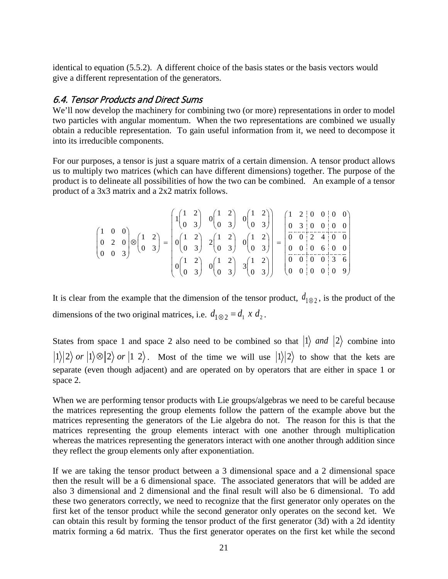identical to equation (5.5.2). A different choice of the basis states or the basis vectors would give a different representation of the generators.

### <span id="page-20-0"></span>6.4. Tensor Products and Direct Sums

We'll now develop the machinery for combining two (or more) representations in order to model two particles with angular momentum. When the two representations are combined we usually obtain a reducible representation. To gain useful information from it, we need to decompose it into its irreducible components.

For our purposes, a tensor is just a square matrix of a certain dimension. A tensor product allows us to multiply two matrices (which can have different dimensions) together. The purpose of the product is to delineate all possibilities of how the two can be combined. An example of a tensor product of a 3x3 matrix and a 2x2 matrix follows.

|  |                                                                                                                                                                                                                                                                                                                                                                                                       | $\left(1\begin{pmatrix}1 & 2\\ 0 & 3\end{pmatrix} & 0\begin{pmatrix}1 & 2\\ 0 & 3\end{pmatrix} & 0\begin{pmatrix}1 & 2\\ 0 & 3\end{pmatrix}\right) \quad \left(\begin{pmatrix}1 & 2 & 0 & 0 & 0\\ 0 & 3 & 0 & 0 & 0\\ 0 & 0 & 0 & 0 & 0\end{pmatrix}\right)$                                    |  |  |  |  |  |  |
|--|-------------------------------------------------------------------------------------------------------------------------------------------------------------------------------------------------------------------------------------------------------------------------------------------------------------------------------------------------------------------------------------------------------|-------------------------------------------------------------------------------------------------------------------------------------------------------------------------------------------------------------------------------------------------------------------------------------------------|--|--|--|--|--|--|
|  | $\begin{pmatrix} 1 & 0 & 0 \\ 0 & 2 & 0 \\ 0 & 0 & 3 \end{pmatrix} \otimes \begin{pmatrix} 1 & 2 \\ 0 & 3 \end{pmatrix} = \begin{pmatrix} 0 & 0 & 0 \\ 0 & 1 & 2 \\ 0 & 3 & 2 \end{pmatrix} \cdot 2 \begin{pmatrix} 1 & 2 \\ 0 & 3 \end{pmatrix} \cdot 0 \begin{pmatrix} 1 & 2 \\ 0 & 3 \end{pmatrix} = \begin{pmatrix} 0 & 0 & 0 & 0 & 0 \\ 0 & 0 & 2 & 4 & 0 & 0 \\ 0 & 0 & 6 & 0 & 0 \\ 0 & 0 & 6$ |                                                                                                                                                                                                                                                                                                 |  |  |  |  |  |  |
|  |                                                                                                                                                                                                                                                                                                                                                                                                       | $\left[\begin{array}{cc} 0 & 1 & 2 \\ 0 & 3 & 0 \end{array}\right] \quad 0 \left(\begin{array}{cc} 1 & 2 \\ 0 & 3 \end{array}\right) \quad 3 \left(\begin{array}{cc} 1 & 2 \\ 0 & 3 \end{array}\right) \quad \left(\begin{array}{cc} 0 & 0 & 0 & 3 & 6 \\ 0 & 0 & 0 & 0 & 9 \end{array}\right)$ |  |  |  |  |  |  |

It is clear from the example that the dimension of the tensor product,  $d_{1\otimes 2}$ , is the product of the dimensions of the two original matrices, i.e.  $d_{1\otimes 2} = d_1 x d_2$ .

States from space 1 and space 2 also need to be combined so that  $|1\rangle$  *and*  $|2\rangle$  combine into  $|1\rangle|2\rangle$  *or*  $|1\rangle\otimes|2\rangle$  *or*  $|1\;2\rangle$ . Most of the time we will use  $|1\rangle|2\rangle$  to show that the kets are separate (even though adjacent) and are operated on by operators that are either in space 1 or space 2.

When we are performing tensor products with Lie groups/algebras we need to be careful because the matrices representing the group elements follow the pattern of the example above but the matrices representing the generators of the Lie algebra do not. The reason for this is that the matrices representing the group elements interact with one another through multiplication whereas the matrices representing the generators interact with one another through addition since they reflect the group elements only after exponentiation.

If we are taking the tensor product between a 3 dimensional space and a 2 dimensional space then the result will be a 6 dimensional space. The associated generators that will be added are also 3 dimensional and 2 dimensional and the final result will also be 6 dimensional. To add these two generators correctly, we need to recognize that the first generator only operates on the first ket of the tensor product while the second generator only operates on the second ket. We can obtain this result by forming the tensor product of the first generator (3d) with a 2d identity matrix forming a 6d matrix. Thus the first generator operates on the first ket while the second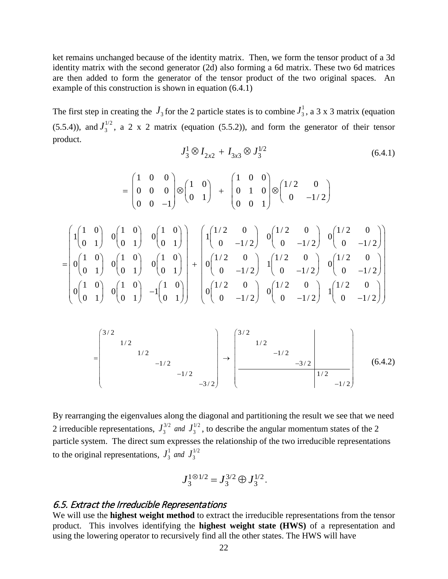ket remains unchanged because of the identity matrix. Then, we form the tensor product of a 3d identity matrix with the second generator (2d) also forming a 6d matrix. These two 6d matrices are then added to form the generator of the tensor product of the two original spaces. An example of this construction is shown in equation (6.4.1)

The first step in creating the  $J_3$  for the 2 particle states is to combine  $J_3^1$ , a 3 x 3 matrix (equation (5.5.4)), and  $J_3^{1/2}$ , a 2 x 2 matrix (equation (5.5.2)), and form the generator of their tensor product.

$$
J_3^1 \otimes I_{2x2} + I_{3x3} \otimes J_3^{1/2} \tag{6.4.1}
$$

$$
= \begin{pmatrix} 1 & 0 & 0 \\ 0 & 0 & 0 \\ 0 & 0 & -1 \end{pmatrix} \otimes \begin{pmatrix} 1 & 0 \\ 0 & 1 \end{pmatrix} + \begin{pmatrix} 1 & 0 & 0 \\ 0 & 1 & 0 \\ 0 & 0 & 1 \end{pmatrix} \otimes \begin{pmatrix} 1/2 & 0 \\ 0 & -1/2 \end{pmatrix}
$$
  

$$
= \begin{pmatrix} 1 \begin{pmatrix} 1 & 0 \\ 0 & 1 \end{pmatrix} & 0 \begin{pmatrix} 1 & 0 \\ 0 & 1 \end{pmatrix} & 0 \begin{pmatrix} 1 & 0 \\ 0 & 1 \end{pmatrix} \\ 0 \begin{pmatrix} 1 & 0 \\ 0 & 1 \end{pmatrix} & 0 \begin{pmatrix} 1 & 0 \\ 0 & 1 \end{pmatrix} & 0 \begin{pmatrix} 1/2 & 0 \\ 0 & 1/2 \end{pmatrix} \end{pmatrix} + \begin{pmatrix} 1 \begin{pmatrix} 1/2 & 0 \\ 0 & -1/2 \end{pmatrix} & 0 \begin{pmatrix} 1/2 & 0 \\ 0 & -1/2 \end{pmatrix} & 0 \begin{pmatrix} 1/2 & 0 \\ 0 & -1/2 \end{pmatrix} \\ 0 \begin{pmatrix} 1 & 0 \\ 0 & 1 \end{pmatrix} & 0 \begin{pmatrix} 1 & 0 \\ 0 & 1 \end{pmatrix} & -1 \begin{pmatrix} 1 & 0 \\ 0 & 1 \end{pmatrix} \end{pmatrix} + \begin{pmatrix} 1/2 & 0 \\ 0 \begin{pmatrix} 1/2 & 0 \\ 0 & -1/2 \end{pmatrix} & 1 \begin{pmatrix} 1/2 & 0 \\ 0 & -1/2 \end{pmatrix} & 0 \begin{pmatrix} 1/2 & 0 \\ 0 & -1/2 \end{pmatrix} & 1 \begin{pmatrix} 1/2 & 0 \\ 0 & -1/2 \end{pmatrix} \end{pmatrix}
$$

$$
= \begin{pmatrix} 3/2 & & & & & \\ & 1/2 & & & & \\ & & & 1/2 & & \\ & & & & -1/2 & \\ & & & & & -3/2 \end{pmatrix} \rightarrow \begin{pmatrix} 3/2 & & & & & \\ & 1/2 & & & & \\ & & -1/2 & & & \\ & & & & -3/2 & \\ & & & & & 1/2 & \\ & & & & & -1/2 \end{pmatrix}
$$
 (6.4.2)

By rearranging the eigenvalues along the diagonal and partitioning the result we see that we need 2 irreducible representations,  $J_3^{3/2}$  *and*  $J_3^{1/2}$ , to describe the angular momentum states of the 2 particle system. The direct sum expresses the relationship of the two irreducible representations to the original representations,  $J_3^1$  and  $J_3^{1/2}$ 

$$
J_3^{1 \otimes 1/2} = J_3^{3/2} \oplus J_3^{1/2}.
$$

#### <span id="page-21-0"></span>6.5. Extract the Irreducible Representations

We will use the **highest weight method** to extract the irreducible representations from the tensor product. This involves identifying the **highest weight state (HWS)** of a representation and using the lowering operator to recursively find all the other states. The HWS will have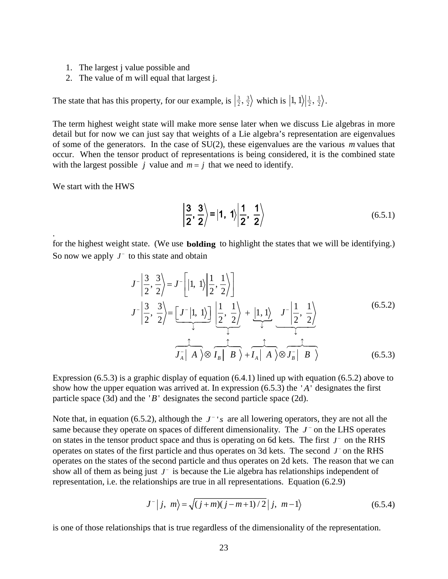- 1. The largest j value possible and
- 2. The value of m will equal that largest j.

The state that has this property, for our example, is  $\left|\frac{3}{2},\frac{3}{2}\right\rangle$  which is  $\left|1,1\right\rangle\left|\frac{1}{2},\frac{1}{2}\right\rangle$ .

The term highest weight state will make more sense later when we discuss Lie algebras in more detail but for now we can just say that weights of a Lie algebra's representation are eigenvalues of some of the generators. In the case of SU(2), these eigenvalues are the various *m* values that occur. When the tensor product of representations is being considered, it is the combined state with the largest possible *j* value and  $m = j$  that we need to identify.

We start with the HWS

.

$$
\left|\frac{3}{2},\frac{3}{2}\right\rangle = |1, 1\rangle \left|\frac{1}{2},\frac{1}{2}\right\rangle \tag{6.5.1}
$$

for the highest weight state. (We use **bolding** to highlight the states that we will be identifying.) So now we apply *J*<sup>−</sup> to this state and obtain

$$
J^{-}\left|\frac{3}{2},\frac{3}{2}\right\rangle = J^{-}\left[\left|1,1\right\rangle\left|\frac{1}{2},\frac{1}{2}\right\rangle\right]
$$
  

$$
J^{-}\left|\frac{3}{2},\frac{3}{2}\right\rangle = \underbrace{\left[J^{-}\left|1,1\right\rangle\right]}_{\downarrow} \underbrace{\left|\frac{1}{2},\frac{1}{2}\right\rangle}_{\downarrow} + \underbrace{\left|1,1\right\rangle}_{\downarrow} \underbrace{J^{-}\left|\frac{1}{2},\frac{1}{2}\right\rangle}_{\downarrow}
$$
  

$$
\underbrace{J^{-}\left|A\right\rangle \otimes I_{B} \left|B\right\rangle}_{\downarrow} + \underbrace{J^{-}\left|A\right\rangle \otimes J_{B}^{-}\left|B\right\rangle}_{\downarrow}
$$
  
(6.5.2)

Expression (6.5.3) is a graphic display of equation (6.4.1) lined up with equation (6.5.2) above to show how the upper equation was arrived at. In expression  $(6.5.3)$  the 'A' designates the first particle space (3d) and the ' $B$ ' designates the second particle space (2d).

Note that, in equation (6.5.2), although the  $J^-$ 's are all lowering operators, they are not all the same because they operate on spaces of different dimensionality. The *J*<sup>−</sup> on the LHS operates on states in the tensor product space and thus is operating on 6d kets. The first *J*<sup>−</sup> on the RHS operates on states of the first particle and thus operates on 3d kets. The second *J*<sup>−</sup> on the RHS operates on the states of the second particle and thus operates on 2d kets. The reason that we can show all of them as being just *J*<sup>−</sup> is because the Lie algebra has relationships independent of representation, i.e. the relationships are true in all representations. Equation (6.2.9)

$$
J^{-} | j, m \rangle = \sqrt{(j+m)(j-m+1)/2} | j, m-1 \rangle
$$
 (6.5.4)

is one of those relationships that is true regardless of the dimensionality of the representation.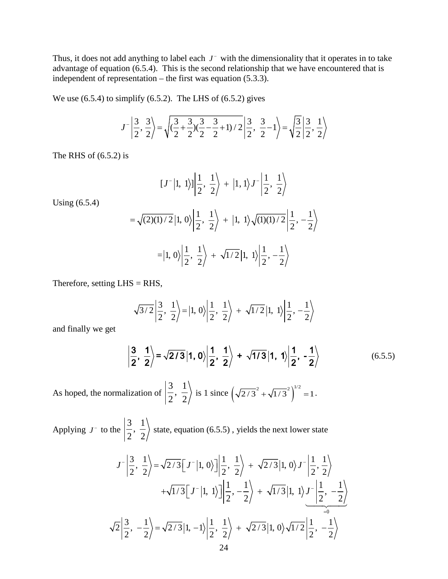Thus, it does not add anything to label each  $J^-$  with the dimensionality that it operates in to take advantage of equation (6.5.4). This is the second relationship that we have encountered that is independent of representation – the first was equation (5.3.3).

We use  $(6.5.4)$  to simplify  $(6.5.2)$ . The LHS of  $(6.5.2)$  gives

$$
J^{-}\left|\frac{3}{2},\frac{3}{2}\right\rangle = \sqrt{\left(\frac{3}{2} + \frac{3}{2}\right)\left(\frac{3}{2} - \frac{3}{2} + 1\right)/2}\left|\frac{3}{2},\frac{3}{2} - 1\right\rangle = \sqrt{\frac{3}{2}}\left|\frac{3}{2},\frac{1}{2}\right\rangle
$$

The RHS of  $(6.5.2)$  is

Using (6.5.4)

$$
[J^{-}|1, 1\rangle]\left|\frac{1}{2}, \frac{1}{2}\right\rangle + |1, 1\rangle J^{-}\left|\frac{1}{2}, \frac{1}{2}\right\rangle
$$
  
=  $\sqrt{(2)(1)/2}|1, 0\rangle\left|\frac{1}{2}, \frac{1}{2}\right\rangle + |1, 1\rangle\sqrt{(1)(1)/2}\left|\frac{1}{2}, -\frac{1}{2}\right\rangle$   
=  $|1, 0\rangle\left|\frac{1}{2}, \frac{1}{2}\right\rangle + \sqrt{1/2}|1, 1\rangle\left|\frac{1}{2}, -\frac{1}{2}\right\rangle$ 

Therefore, setting  $LHS = RHS$ ,

$$
\sqrt{3/2}\left|\frac{3}{2}, \frac{1}{2}\right\rangle = |1, 0\rangle \left|\frac{1}{2}, \frac{1}{2}\right\rangle + \sqrt{1/2}|1, 1\rangle \left|\frac{1}{2}, -\frac{1}{2}\right\rangle
$$

and finally we get

$$
\left|\frac{3}{2},\frac{1}{2}\right\rangle = \sqrt{2/3}\left|1,0\right\rangle \left|\frac{1}{2},\frac{1}{2}\right\rangle + \sqrt{1/3}\left|1,1\right\rangle \left|\frac{1}{2},-\frac{1}{2}\right\rangle \tag{6.5.5}
$$

As hoped, the normalization of  $\left|\frac{3}{2}, \frac{1}{2}\right|$  $\frac{3}{2}$ ,  $\frac{1}{2}$  is 1 since  $(\sqrt{2}/3^2 + \sqrt{1}/3^2)^{1/2} = 1$ .

Applying  $J^-$  to the  $\left|\frac{3}{2}, \frac{1}{2}\right|$  $\left(\frac{1}{2}, \frac{1}{2}\right)$  state, equation (6.5.5), yields the next lower state

$$
J^{-}\left|\frac{3}{2}, \frac{1}{2}\right\rangle = \sqrt{2/3} \left[J^{-}\left|1, 0\right\rangle\right] \left|\frac{1}{2}, \frac{1}{2}\right\rangle + \sqrt{2/3} \left|1, 0\right\rangle J^{-}\left|\frac{1}{2}, \frac{1}{2}\right\rangle
$$
  
+ $\sqrt{1/3} \left[J^{-}\left|1, 1\right\rangle\right] \left|\frac{1}{2}, -\frac{1}{2}\right\rangle + \sqrt{1/3} \left|1, 1\right\rangle J^{-}\left|\frac{1}{2}, -\frac{1}{2}\right\rangle$   
 $\sqrt{2} \left|\frac{3}{2}, -\frac{1}{2}\right\rangle = \sqrt{2/3} \left|1, -1\right\rangle \left|\frac{1}{2}, \frac{1}{2}\right\rangle + \sqrt{2/3} \left|1, 0\right\rangle \sqrt{1/2} \left|\frac{1}{2}, -\frac{1}{2}\right\rangle$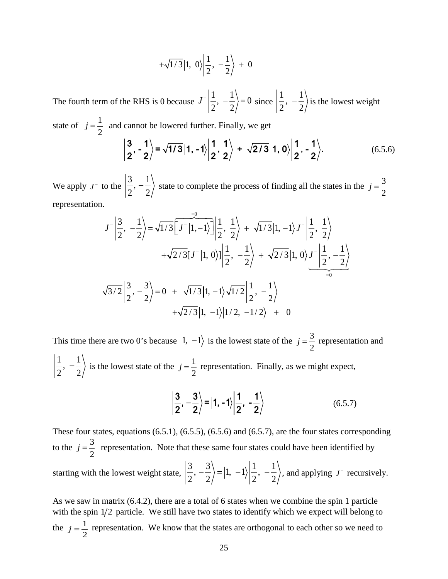$$
+\sqrt{1/3}|1, 0\rangle \left| \frac{1}{2}, -\frac{1}{2} \right\rangle + 0
$$

The fourth term of the RHS is 0 because  $J^{-} \left| \frac{1}{2}, -\frac{1}{2} \right\rangle = 0$ 2 2  $J^{-}\left|\frac{1}{2}, -\frac{1}{2}\right\rangle = 0$  since  $\left|\frac{1}{2}, -\frac{1}{2}\right\rangle$  is the lowest weight

state of  $j = \frac{1}{2}$  and cannot be lowered further. Finally, we get  $\langle \frac{3}{2}, \frac{1}{2} \rangle = \sqrt{1/3} |1, -1 \rangle \left| \frac{1}{2}, \frac{1}{2} \right\rangle + \sqrt{2/3} |1, 0 \rangle \left| \frac{1}{2}, \frac{1}{2} \right\rangle.$  (6.5.6)

We apply 
$$
J^-
$$
 to the  $\left|\frac{3}{2}, -\frac{1}{2}\right\rangle$  state to complete the process of finding all the states in the  $j = \frac{3}{2}$ 

representation.

$$
J^{-}\left|\frac{3}{2}, -\frac{1}{2}\right\rangle = \sqrt{1/3} \left[J^{-}\left|1, -1\right\rangle\right] \left|\frac{1}{2}, \frac{1}{2}\right\rangle + \sqrt{1/3} \left|1, -1\right\rangle J^{-}\left|\frac{1}{2}, \frac{1}{2}\right\rangle
$$
  
+ $\sqrt{2/3} \left[J^{-}\left|1, 0\right\rangle\right] \left|\frac{1}{2}, -\frac{1}{2}\right\rangle + \sqrt{2/3} \left|1, 0\right\rangle J^{-}\left|\frac{1}{2}, -\frac{1}{2}\right\rangle$   
 $\sqrt{3/2} \left|\frac{3}{2}, -\frac{3}{2}\right\rangle = 0 + \sqrt{1/3} \left|1, -1\right\rangle \sqrt{1/2} \left|\frac{1}{2}, -\frac{1}{2}\right\rangle$   
+ $\sqrt{2/3} \left|1, -1\right\rangle \left|1/2, -1/2\right\rangle + 0$ 

This time there are two 0's because  $|1, -1\rangle$  is the lowest state of the  $j = \frac{3}{2}$  representation and  $\left(\frac{1}{2}, -\frac{1}{2}\right)$  is the lowest state of the  $j = \frac{1}{2}$  representation. Finally, as we might expect,

$$
\left|\frac{3}{2},-\frac{3}{2}\right\rangle = \left|1,-1\right\rangle \left|\frac{1}{2},-\frac{1}{2}\right\rangle \tag{6.5.7}
$$

These four states, equations (6.5.1), (6.5.5), (6.5.6) and (6.5.7), are the four states corresponding to the  $j = \frac{3}{2}$  representation. Note that these same four states could have been identified by starting with the lowest weight state,  $\left| \frac{3}{2}, -\frac{3}{2} \right\rangle = |1, -1\rangle \left| \frac{1}{2}, -\frac{1}{2} \right\rangle$ , and applying  $J^+$  recursively.

As we saw in matrix (6.4.2), there are a total of 6 states when we combine the spin 1 particle with the spin  $1/2$  particle. We still have two states to identify which we expect will belong to the  $j = \frac{1}{2}$  representation. We know that the states are orthogonal to each other so we need to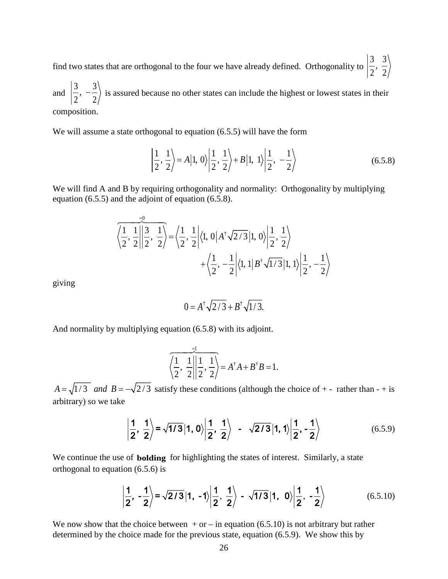find two states that are orthogonal to the four we have already defined. Orthogonality to  $\begin{bmatrix} 3 & 3 \\ 2 & 2 \end{bmatrix}$  $2^{\degree}$  2

and  $\left|\frac{3}{2}, -\frac{3}{2}\right\rangle$  is assured because no other states can include the highest or lowest states in their composition.

We will assume a state orthogonal to equation (6.5.5) will have the form

$$
\left|\frac{1}{2},\frac{1}{2}\right\rangle = A|1,0\rangle \left|\frac{1}{2},\frac{1}{2}\right\rangle + B|1,1\rangle \left|\frac{1}{2},-\frac{1}{2}\right\rangle
$$
 (6.5.8)

We will find A and B by requiring orthogonality and normality: Orthogonality by multiplying equation (6.5.5) and the adjoint of equation (6.5.8).

$$
\frac{1}{\left\langle \frac{1}{2}, \frac{1}{2} \right| \left| \frac{3}{2}, \frac{1}{2} \right\rangle} = \left\langle \frac{1}{2}, \frac{1}{2} \right| \left\langle 1, 0 \right| A^{\dagger} \sqrt{2/3} |1, 0 \rangle \left| \frac{1}{2}, \frac{1}{2} \right\rangle
$$

$$
+ \left\langle \frac{1}{2}, -\frac{1}{2} \right| \left\langle 1, 1 \right| B^{\dagger} \sqrt{1/3} |1, 1 \rangle \left| \frac{1}{2}, -\frac{1}{2} \right\rangle
$$

giving

$$
0 = A^{\dagger} \sqrt{2/3} + B^{\dagger} \sqrt{1/3}.
$$

And normality by multiplying equation (6.5.8) with its adjoint.

$$
\overline{\left\langle \frac{1}{2}, \frac{1}{2} \right| \left| \frac{1}{2}, \frac{1}{2} \right|} = A^{\dagger} A + B^{\dagger} B = 1.
$$

 $A = \sqrt{1/3}$  and  $B = -\sqrt{2/3}$  satisfy these conditions (although the choice of + - rather than - + is arbitrary) so we take

$$
\left|\frac{1}{2},\frac{1}{2}\right\rangle = \sqrt{1/3}\left|1,0\right\rangle \left|\frac{1}{2},\frac{1}{2}\right\rangle - \sqrt{2/3}\left|1,1\right\rangle \left|\frac{1}{2},-\frac{1}{2}\right\rangle \tag{6.5.9}
$$

We continue the use of **bolding** for highlighting the states of interest. Similarly, a state orthogonal to equation (6.5.6) is

$$
\left|\frac{1}{2},\left|\frac{1}{2}\right\rangle\right|=\sqrt{2/3}\left|1,\left|\frac{1}{2},\frac{1}{2}\right\rangle\right|=\sqrt{1/3}\left|1,\left|0\right\rangle\left|\frac{1}{2},\left|\frac{1}{2}\right\rangle\right|\tag{6.5.10}
$$

We now show that the choice between  $+$  or  $-$  in equation (6.5.10) is not arbitrary but rather determined by the choice made for the previous state, equation (6.5.9). We show this by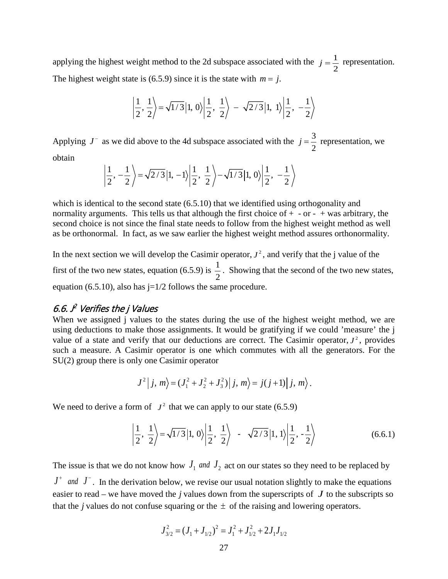applying the highest weight method to the 2d subspace associated with the  $j = \frac{1}{2}$  representation. The highest weight state is (6.5.9) since it is the state with  $m = j$ .

$$
\left|\frac{1}{2}, \frac{1}{2}\right\rangle = \sqrt{1/3} |1, 0\rangle \left|\frac{1}{2}, \frac{1}{2}\right\rangle - \sqrt{2/3} |1, 1\rangle \left|\frac{1}{2}, -\frac{1}{2}\right\rangle
$$

Applying  $J^-$  as we did above to the 4d subspace associated with the  $j = \frac{3}{2}$  representation, we obtain

$$
\left|\frac{1}{2},-\frac{1}{2}\right\rangle = \sqrt{2/3}\left|1,-1\right\rangle \left|\frac{1}{2},\frac{1}{2}\right\rangle - \sqrt{1/3}\left|1,0\right\rangle \left|\frac{1}{2},-\frac{1}{2}\right\rangle
$$

which is identical to the second state  $(6.5.10)$  that we identified using orthogonality and normality arguments. This tells us that although the first choice of  $+$  - or -  $+$  was arbitrary, the second choice is not since the final state needs to follow from the highest weight method as well as be orthonormal. In fact, as we saw earlier the highest weight method assures orthonormality.

In the next section we will develop the Casimir operator,  $J^2$ , and verify that the j value of the first of the two new states, equation (6.5.9) is  $\frac{1}{2}$ 2 . Showing that the second of the two new states, equation (6.5.10), also has  $j=1/2$  follows the same procedure.

#### <span id="page-26-0"></span>6.6. J 2 Verifies the j Values

When we assigned *j* values to the states during the use of the highest weight method, we are using deductions to make those assignments. It would be gratifying if we could 'measure' the j value of a state and verify that our deductions are correct. The Casimir operator,  $J^2$ , provides such a measure. A Casimir operator is one which commutes with all the generators. For the SU(2) group there is only one Casimir operator

$$
J^{2}|j, m \rangle = (J_{1}^{2} + J_{2}^{2} + J_{3}^{2})|j, m \rangle = j(j+1)|j, m \rangle.
$$

We need to derive a form of  $J^2$  that we can apply to our state (6.5.9)

$$
\left|\frac{1}{2}, \frac{1}{2}\right\rangle = \sqrt{1/3} |1, 0\rangle \left|\frac{1}{2}, \frac{1}{2}\right\rangle - \sqrt{2/3} |1, 1\rangle \left|\frac{1}{2}, -\frac{1}{2}\right\rangle \tag{6.6.1}
$$

The issue is that we do not know how  $J_1$  *and*  $J_2$  act on our states so they need to be replaced by  $J^+$  *and*  $J^-$ . In the derivation below, we revise our usual notation slightly to make the equations easier to read – we have moved the *j* values down from the superscripts of  $J$  to the subscripts so that the *j* values do not confuse squaring or the  $\pm$  of the raising and lowering operators.

$$
J_{3/2}^2 = (J_1 + J_{1/2})^2 = J_1^2 + J_{1/2}^2 + 2J_1J_{1/2}
$$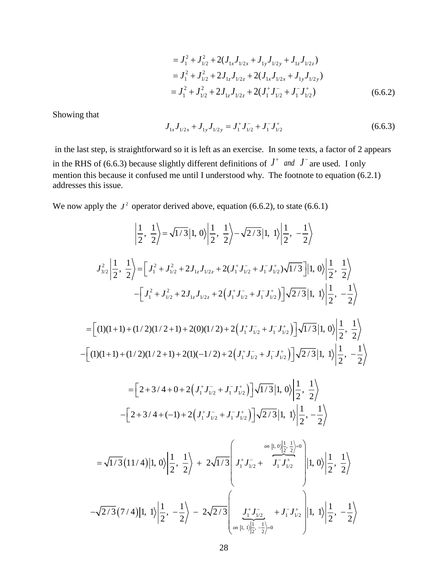$$
= J_1^2 + J_{1/2}^2 + 2(J_{1x}J_{1/2x} + J_{1y}J_{1/2y} + J_{1z}J_{1/2z})
$$
  
\n
$$
= J_1^2 + J_{1/2}^2 + 2J_{1z}J_{1/2z} + 2(J_{1x}J_{1/2x} + J_{1y}J_{1/2y})
$$
  
\n
$$
= J_1^2 + J_{1/2}^2 + 2J_{1z}J_{1/2z} + 2(J_1^+J_{1/2}^- + J_1^-J_{1/2}^+)
$$
 (6.6.2)

Showing that

$$
J_{1x}J_{1/2x} + J_{1y}J_{1/2y} = J_1^+J_{1/2}^- + J_1^-J_{1/2}^+
$$
 (6.6.3)

in the last step, is straightforward so it is left as an exercise. In some texts, a factor of 2 appears in the RHS of (6.6.3) because slightly different definitions of  $J^+$  *and*  $J^-$  are used. I only mention this because it confused me until I understood why. The footnote to equation (6.2.1) addresses this issue.

We now apply the  $J^2$  operator derived above, equation (6.6.2), to state (6.6.1)

$$
\left| \frac{1}{2}, \frac{1}{2} \right\rangle = \sqrt{1/3} |1, 0\rangle \left| \frac{1}{2}, \frac{1}{2} \right\rangle - \sqrt{2/3} |1, 1\rangle \left| \frac{1}{2}, -\frac{1}{2} \right\rangle
$$
  

$$
J_{3/2}^2 \left| \frac{1}{2}, \frac{1}{2} \right\rangle = \left[ J_1^2 + J_{1/2}^2 + 2J_{1z}J_{1/2z} + 2(J_1^+J_{1/2}^- + J_1^-J_{1/2}^+) \sqrt{1/3} \right] |1, 0\rangle \left| \frac{1}{2}, \frac{1}{2} \right\rangle
$$

$$
- \left[ J_1^2 + J_{1/2}^2 + 2J_{1z}J_{1/2z} + 2(J_1^+J_{1/2}^- + J_1^-J_{1/2}^+) \right] \sqrt{2/3} |1, 1\rangle \left| \frac{1}{2}, -\frac{1}{2} \right\rangle
$$

$$
= \left[ (1)(1+1) + (1/2)(1/2+1) + 2(0)(1/2) + 2(J_1^+J_{1/2}^- + J_1^-J_{1/2}^+) \right] \sqrt{1/3} |1, 0\rangle \left| \frac{1}{2}, \frac{1}{2} \right\rangle
$$

$$
- \left[ (1)(1+1) + (1/2)(1/2+1) + 2(1)(-1/2) + 2(J_1^+J_{1/2}^- + J_1^-J_{1/2}^+) \right] \sqrt{2/3} |1, 1\rangle \left| \frac{1}{2}, -\frac{1}{2} \right\rangle
$$

$$
= \left[ 2 + 3/4 + 0 + 2(J_1^+J_{1/2}^- + J_1^-J_{1/2}^+) \right] \sqrt{1/3} |1, 0\rangle \left| \frac{1}{2}, \frac{1}{2} \right\rangle
$$

$$
- \left[ 2 + 3/4 + (-1) + 2(J_1^+J_{1/2}^- + J_1^-J_{1/2}^+) \right] \sqrt{2/3} |1, 1\rangle \left| \frac{1}{2}, -\frac{1}{2} \right\rangle
$$

$$
= \sqrt{1/3} (11/4) |1,
$$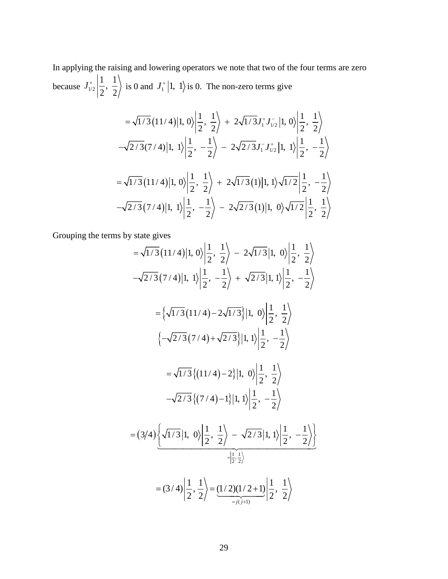In applying the raising and lowering operators we note that two of the four terms are zero because  $J_{1/2}^{+} \left| \frac{1}{2}, \frac{1}{2} \right|$  $J_{1/2}^+$  $\left| \frac{1}{2}, \frac{1}{2} \right\rangle$  is 0 and  $J_1^+$  |1, 1) is 0. The non-zero terms give

$$
= \sqrt{1/3} (11/4) |1, 0\rangle \left| \frac{1}{2}, \frac{1}{2} \right\rangle + 2\sqrt{1/3} J_{1}^{+} J_{1/2}^{-} |1, 0\rangle \left| \frac{1}{2}, \frac{1}{2} \right\rangle
$$
  

$$
-\sqrt{2/3} (7/4) |1, 1\rangle \left| \frac{1}{2}, -\frac{1}{2} \right\rangle - 2\sqrt{2/3} J_{1}^{-} J_{1/2}^{+} |1, 1\rangle \left| \frac{1}{2}, -\frac{1}{2} \right\rangle
$$
  

$$
= \sqrt{1/3} (11/4) |1, 0\rangle \left| \frac{1}{2}, \frac{1}{2} \right\rangle + 2\sqrt{1/3} (1) |1, 1\rangle \sqrt{1/2} \left| \frac{1}{2}, -\frac{1}{2} \right\rangle
$$
  

$$
-\sqrt{2/3} (7/4) |1, 1\rangle \left| \frac{1}{2}, -\frac{1}{2} \right\rangle - 2\sqrt{2/3} (1) |1, 0\rangle \sqrt{1/2} \left| \frac{1}{2}, \frac{1}{2} \right\rangle
$$

Grouping the terms by state gives

$$
= \sqrt{1/3} (11/4) |1, 0\rangle \left| \frac{1}{2}, \frac{1}{2} \right\rangle - 2\sqrt{1/3} |1, 0\rangle \left| \frac{1}{2}, \frac{1}{2} \right\rangle
$$
  

$$
- \sqrt{2/3} (7/4) |1, 1\rangle \left| \frac{1}{2}, -\frac{1}{2} \right\rangle + \sqrt{2/3} |1, 1\rangle \left| \frac{1}{2}, -\frac{1}{2} \right\rangle
$$
  

$$
= \left\{ \sqrt{1/3} (11/4) - 2\sqrt{1/3} |1, 0\rangle \left| \frac{1}{2}, \frac{1}{2} \right\rangle
$$
  

$$
\left\{ -\sqrt{2/3} (7/4) + \sqrt{2/3} |1, 1\rangle \left| \frac{1}{2}, -\frac{1}{2} \right\rangle
$$
  

$$
= \sqrt{1/3} \left\{ (11/4) - 2 |1, 0\rangle \left| \frac{1}{2}, \frac{1}{2} \right\rangle
$$
  

$$
- \sqrt{2/3} \left\{ (7/4) -1 |1, 1\rangle \left| \frac{1}{2}, -\frac{1}{2} \right\rangle
$$
  

$$
= (3/4) \left\{ \sqrt{1/3} |1, 0\rangle \left| \frac{1}{2}, \frac{1}{2} \right\rangle - \sqrt{2/3} |1, 1\rangle \left| \frac{1}{2}, -\frac{1}{2} \right\rangle \right\}
$$
  

$$
= (3/4) \left\{ \frac{1}{2}, \frac{1}{2} \right\} = \frac{(1/2)(1/2+1)}{2/2} \left| \frac{1}{2}, \frac{1}{2} \right\rangle
$$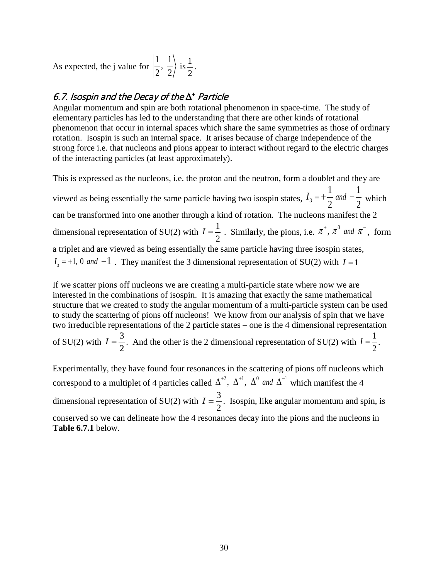As expected, the j value for  $\left|\frac{1}{2}, \frac{1}{2}\right|$  $2^{\degree}$  2  $\frac{1}{1}$ 2 .

# <span id="page-29-0"></span>6.7. Isospin and the Decay of the ∆<sup>+</sup> Particle

Angular momentum and spin are both rotational phenomenon in space-time. The study of elementary particles has led to the understanding that there are other kinds of rotational phenomenon that occur in internal spaces which share the same symmetries as those of ordinary rotation. Isospin is such an internal space. It arises because of charge independence of the strong force i.e. that nucleons and pions appear to interact without regard to the electric charges of the interacting particles (at least approximately).

This is expressed as the nucleons, i.e. the proton and the neutron, form a doublet and they are viewed as being essentially the same particle having two isospin states,  $I_3$ 1 1 2 2  $I_3 = +\frac{1}{2}$  *and*  $-\frac{1}{2}$  which can be transformed into one another through a kind of rotation. The nucleons manifest the 2 dimensional representation of SU(2) with 1 2  $I = \frac{1}{2}$ . Similarly, the pions, i.e.  $\pi^{+}$ ,  $\pi^{0}$  and  $\pi^{-}$ , form a triplet and are viewed as being essentially the same particle having three isospin states,  $I_3 = +1$ , 0 *and*  $-1$ . They manifest the 3 dimensional representation of SU(2) with  $I = 1$ 

If we scatter pions off nucleons we are creating a multi-particle state where now we are interested in the combinations of isospin. It is amazing that exactly the same mathematical structure that we created to study the angular momentum of a multi-particle system can be used to study the scattering of pions off nucleons! We know from our analysis of spin that we have two irreducible representations of the 2 particle states – one is the 4 dimensional representation

of SU(2) with  $I=\frac{3}{2}$ 2  $I = \frac{3}{2}$ . And the other is the 2 dimensional representation of SU(2) with  $I = \frac{1}{2}$ 2  $I=\frac{1}{2}$ .

Experimentally, they have found four resonances in the scattering of pions off nucleons which correspond to a multiplet of 4 particles called  $\Delta^{+2}$ ,  $\Delta^{+1}$ ,  $\Delta^{0}$  *and*  $\Delta^{-1}$  which manifest the 4 dimensional representation of SU(2) with  $I = \frac{3}{2}$ 2  $I = \frac{3}{2}$ . Isospin, like angular momentum and spin, is conserved so we can delineate how the 4 resonances decay into the pions and the nucleons in **Table 6.7.1** below.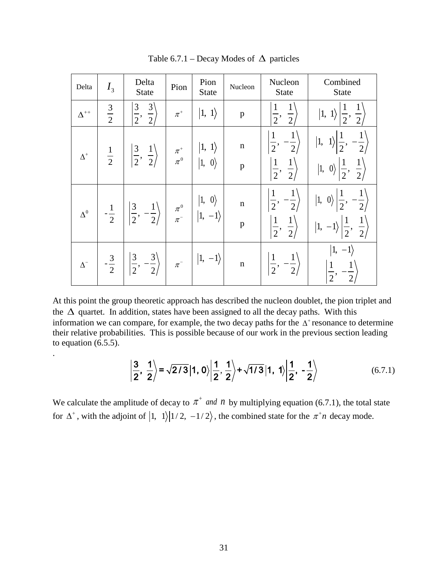| Delta         | $I_3$          | Delta<br>State                                                                                                                                                            | Pion    | Pion<br><b>State</b>                                                                       | Nucleon                     | Nucleon<br><b>State</b>                                                                         | Combined<br>State                                                                                                                                   |  |
|---------------|----------------|---------------------------------------------------------------------------------------------------------------------------------------------------------------------------|---------|--------------------------------------------------------------------------------------------|-----------------------------|-------------------------------------------------------------------------------------------------|-----------------------------------------------------------------------------------------------------------------------------------------------------|--|
| $\Delta^{++}$ | $rac{3}{2}$    | $\overline{3}$<br>$rac{3}{2}$<br>$\overline{2}$                                                                                                                           | $\pi^+$ | $ 1, 1\rangle$                                                                             | $\mathbf{p}$                | $\frac{1}{2}$<br>$\overline{2}$                                                                 | $\frac{1}{2}$<br>$ 1, 1\rangle$                                                                                                                     |  |
| $\Delta^+$    | $\frac{1}{2}$  | $\left \frac{3}{2}, \frac{1}{2}\right\rangle$                                                                                                                             |         | $\begin{array}{ccc} \pi^+ &   &  1, \; 1\rangle \ \pi^0 &   &  1, \; 0\rangle \end{array}$ | $\mathbf n$<br>$\mathbf{p}$ | $\mathbf{1}$<br>$-\frac{1}{2}$<br>$\overline{2}$<br>$\left \frac{1}{2},\right $<br>$rac{1}{2}$  | $-\frac{1}{2}$<br>$\frac{1}{2}$<br>1,<br>$rac{1}{2}, \frac{1}{2}$<br>$\left 1, \right.$ 0)                                                          |  |
| $\Delta^0$    | $\frac{1}{2}$  | $\left \frac{3}{2}, -\frac{1}{2}\right\rangle$ $\left \begin{array}{cc} \pi^0 \\ \pi^- \end{array}\right $ $\left \begin{array}{cc} 1, & 0 \\ 1, & -1 \end{array}\right $ |         |                                                                                            | $\mathbf n$<br>$\, {\bf p}$ | $\left \frac{1}{2},\ -\frac{1}{2}\right\rangle$<br>$\left \frac{1}{2},\right $<br>$\frac{1}{2}$ | $\left \frac{1}{2},\ -\frac{1}{2}\right $<br>$\vert 1, 0 \rangle \vert$<br>$\frac{1}{2}$<br>$\frac{1}{2}$<br>$\vert 1, \vert$<br>$\vert -1 \rangle$ |  |
| $\Delta^-$    | $-\frac{3}{2}$ | $\left \left \frac{3}{2},\frac{3}{2}\right\rangle\right $ $\pi$ <sup>-</sup> $\left \left 1,\right 1\right\rangle$                                                        |         |                                                                                            | $\mathbf n$                 | $\left \frac{1}{2},\ -\frac{1}{2}\right\rangle$                                                 | $-1\rangle$<br>1,<br>$\frac{1}{2}$<br>$-\frac{1}{2}$                                                                                                |  |

Table 6.7.1 – Decay Modes of  $\Delta$  particles

At this point the group theoretic approach has described the nucleon doublet, the pion triplet and the  $\Delta$  quartet. In addition, states have been assigned to all the decay paths. With this information we can compare, for example, the two decay paths for the  $\Delta^+$  resonance to determine their relative probabilities. This is possible because of our work in the previous section leading to equation (6.5.5).

.

$$
\frac{3}{2}, \frac{1}{2} \rangle = \sqrt{2/3} |1, 0\rangle \left| \frac{1}{2}, \frac{1}{2} \right\rangle + \sqrt{1/3} |1, 1\rangle \left| \frac{1}{2}, -\frac{1}{2} \right\rangle
$$
 (6.7.1)

We calculate the amplitude of decay to  $\pi^+$  *and n* by multiplying equation (6.7.1), the total state for  $\Delta^+$ , with the adjoint of  $\ket{1, 1}$   $\ket{1/2, -1/2}$ , the combined state for the  $\pi^+n$  decay mode.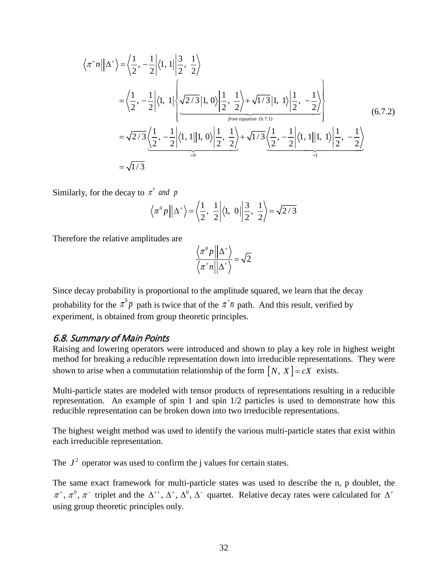$$
\langle \pi^* n || \Delta^* \rangle = \left\langle \frac{1}{2}, -\frac{1}{2} \middle| \langle 1, 1 || \frac{3}{2}, \frac{1}{2} \rangle \right\rangle
$$
  
=  $\left\langle \frac{1}{2}, -\frac{1}{2} \middle| \langle 1, 1 || \left\langle \frac{\sqrt{2/3} |1, 0 \rangle \middle| \frac{1}{2}, \frac{1}{2} \right\rangle + \sqrt{1/3} |1, 1 \rangle \middle| \frac{1}{2}, -\frac{1}{2} \right\rangle$   
=  $\sqrt{2/3} \left\langle \frac{1}{2}, -\frac{1}{2} \middle| \langle 1, 1 || 1, 0 \rangle \middle| \frac{1}{2}, \frac{1}{2} \right\rangle + \sqrt{1/3} \left\langle \frac{1}{2}, -\frac{1}{2} \middle| \langle 1, 1 || 1, 1 \rangle \middle| \frac{1}{2}, -\frac{1}{2} \right\rangle$   
=  $\sqrt{1/3}$  (6.7.2)

Similarly, for the decay to  $\pi^0$  and p

$$
\langle \pi^0 p \mid |\Delta^+ \rangle = \langle \frac{1}{2}, \frac{1}{2} \mid \langle 1, 0 \mid |\frac{3}{2}, \frac{1}{2} \rangle = \sqrt{2/3}
$$

Therefore the relative amplitudes are

$$
\frac{\langle \pi^0 p || \Delta^+ \rangle}{\langle \pi^+ n || \Delta^+ \rangle} = \sqrt{2}
$$

Since decay probability is proportional to the amplitude squared, we learn that the decay probability for the  $\pi^0 p$  path is twice that of the  $\pi^+ n$  path. And this result, verified by experiment, is obtained from group theoretic principles.

#### <span id="page-31-0"></span>6.8. Summary of Main Points

Raising and lowering operators were introduced and shown to play a key role in highest weight method for breaking a reducible representation down into irreducible representations. They were shown to arise when a commutation relationship of the form  $[N, X] = cX$  exists.

Multi-particle states are modeled with tensor products of representations resulting in a reducible representation. An example of spin 1 and spin 1/2 particles is used to demonstrate how this reducible representation can be broken down into two irreducible representations.

The highest weight method was used to identify the various multi-particle states that exist within each irreducible representation.

The  $J^2$  operator was used to confirm the j values for certain states.

The same exact framework for multi-particle states was used to describe the n, p doublet, the  $\pi^+$ ,  $\pi^0$ ,  $\pi^-$  triplet and the  $\Delta^{++}$ ,  $\Delta^+$ ,  $\Delta^0$ ,  $\Delta^-$  quartet. Relative decay rates were calculated for  $\Delta^+$ using group theoretic principles only.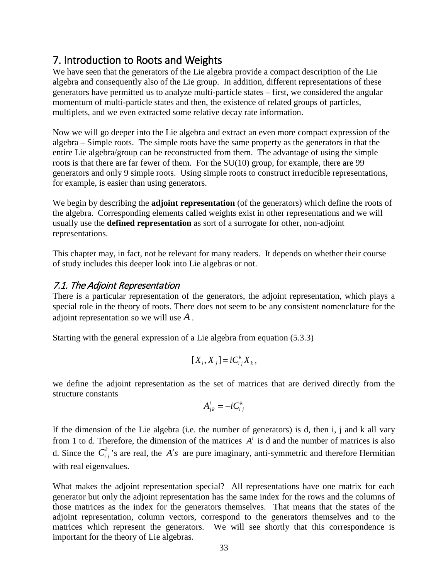# <span id="page-32-0"></span>7. Introduction to Roots and Weights

We have seen that the generators of the Lie algebra provide a compact description of the Lie algebra and consequently also of the Lie group. In addition, different representations of these generators have permitted us to analyze multi-particle states – first, we considered the angular momentum of multi-particle states and then, the existence of related groups of particles, multiplets, and we even extracted some relative decay rate information.

Now we will go deeper into the Lie algebra and extract an even more compact expression of the algebra – Simple roots. The simple roots have the same property as the generators in that the entire Lie algebra/group can be reconstructed from them. The advantage of using the simple roots is that there are far fewer of them. For the SU(10) group, for example, there are 99 generators and only 9 simple roots. Using simple roots to construct irreducible representations, for example, is easier than using generators.

We begin by describing the **adjoint representation** (of the generators) which define the roots of the algebra. Corresponding elements called weights exist in other representations and we will usually use the **defined representation** as sort of a surrogate for other, non-adjoint representations.

This chapter may, in fact, not be relevant for many readers. It depends on whether their course of study includes this deeper look into Lie algebras or not.

# <span id="page-32-1"></span>7.1. The Adjoint Representation

There is a particular representation of the generators, the adjoint representation, which plays a special role in the theory of roots. There does not seem to be any consistent nomenclature for the adjoint representation so we will use *A* .

Starting with the general expression of a Lie algebra from equation (5.3.3)

$$
[X_i, X_j] = iC_{ij}^k X_k,
$$

we define the adjoint representation as the set of matrices that are derived directly from the structure constants

$$
A_{jk}^i = -iC_{ij}^k
$$

If the dimension of the Lie algebra (i.e. the number of generators) is d, then i, j and k all vary from 1 to d. Therefore, the dimension of the matrices  $A^i$  is d and the number of matrices is also d. Since the  $C_i^k$  's are real, the *A's* are pure imaginary, anti-symmetric and therefore Hermitian with real eigenvalues.

What makes the adjoint representation special? All representations have one matrix for each generator but only the adjoint representation has the same index for the rows and the columns of those matrices as the index for the generators themselves. That means that the states of the adjoint representation, column vectors, correspond to the generators themselves and to the matrices which represent the generators. We will see shortly that this correspondence is important for the theory of Lie algebras.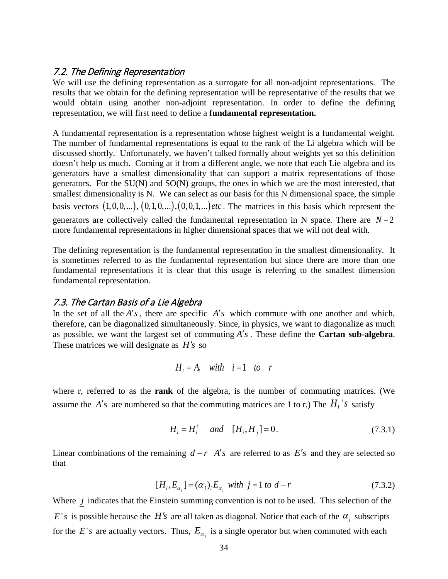#### <span id="page-33-0"></span>7.2. The Defining Representation

We will use the defining representation as a surrogate for all non-adjoint representations. The results that we obtain for the defining representation will be representative of the results that we would obtain using another non-adjoint representation. In order to define the defining representation, we will first need to define a **fundamental representation.** 

A fundamental representation is a representation whose highest weight is a fundamental weight. The number of fundamental representations is equal to the rank of the Li algebra which will be discussed shortly. Unfortunately, we haven't talked formally about weights yet so this definition doesn't help us much. Coming at it from a different angle, we note that each Lie algebra and its generators have a smallest dimensionality that can support a matrix representations of those generators. For the SU(N) and SO(N) groups, the ones in which we are the most interested, that smallest dimensionality is N. We can select as our basis for this N dimensional space, the simple basis vectors  $(1,0,0,...)$ ,  $(0,1,0,...)$ ,  $(0,0,1,...)$  *etc*. The matrices in this basis which represent the generators are collectively called the fundamental representation in N space. There are *N* − 2 more fundamental representations in higher dimensional spaces that we will not deal with*.* 

The defining representation is the fundamental representation in the smallest dimensionality. It is sometimes referred to as the fundamental representation but since there are more than one fundamental representations it is clear that this usage is referring to the smallest dimension fundamental representation.

#### <span id="page-33-1"></span>7.3. The Cartan Basis of a Lie Algebra

In the set of all the  $A's$ , there are specific  $A's$  which commute with one another and which, therefore, can be diagonalized simultaneously. Since, in physics, we want to diagonalize as much as possible, we want the largest set of commuting  $A's$ . These define the **Cartan sub-algebra**. These matrices we will designate as *H's* so

$$
H_i = A_i \quad with \quad i = 1 \quad to \quad r
$$

where r, referred to as the **rank** of the algebra, is the number of commuting matrices. (We assume the *A's* are numbered so that the commuting matrices are 1 to r.) The  $H_i$ 's satisfy

$$
H_i = H_i^{\dagger} \quad \text{and} \quad [H_i, H_j] = 0. \tag{7.3.1}
$$

Linear combinations of the remaining  $d - r$  *A's* are referred to as *E's* and they are selected so that

$$
[H_i, E_{\alpha_j}] = (\alpha_j)_i E_{\alpha_j} \text{ with } j = 1 \text{ to } d - r \tag{7.3.2}
$$

Where  $j$  indicates that the Einstein summing convention is not to be used. This selection of the *E's* is possible because the *H's* are all taken as diagonal. Notice that each of the  $\alpha_i$  subscripts for the *E*'s are actually vectors. Thus,  $E_{\alpha_j}$  is a single operator but when commuted with each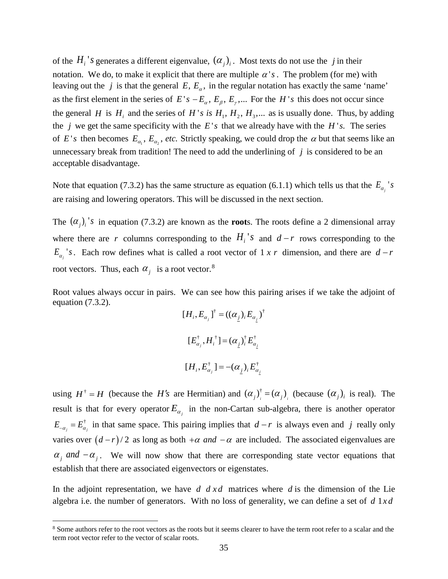of the  $H_i$ 's generates a different eigenvalue,  $(\alpha_i)_i$ . Most texts do not use the *j* in their notation. We do, to make it explicit that there are multiple  $\alpha'$  *s*. The problem (for me) with leaving out the *j* is that the general  $E, E_a$ , in the regular notation has exactly the same 'name' as the first element in the series of  $E's - E_{\alpha}$ ,  $E_{\beta}$ ,  $E_{\gamma}$ ,... For the *H*'s this does not occur since the general *H* is  $H_i$  and the series of *H's is*  $H_1, H_2, H_3, \dots$  as is usually done. Thus, by adding the *j* we get the same specificity with the  $E's$  that we already have with the  $H's$ . The series of *E's* then becomes  $E_{\alpha_1}$ ,  $E_{\alpha_2}$ , *etc*. Strictly speaking, we could drop the  $\alpha$  but that seems like an unnecessary break from tradition! The need to add the underlining of *j* is considered to be an acceptable disadvantage.

Note that equation (7.3.2) has the same structure as equation (6.1.1) which tells us that the  $E_{\alpha_j}$ 's are raising and lowering operators. This will be discussed in the next section.

The  $(\alpha_i)_i$ 's in equation (7.3.2) are known as the **root**s. The roots define a 2 dimensional array where there are *r* columns corresponding to the  $H_i$ 's and  $d-r$  rows corresponding to the  $E_{\alpha_j}$ 's. Each row defines what is called a root vector of 1 *x r* dimension, and there are  $d-r$ root vectors. Thus, each  $\alpha_j$  is a root vector.<sup>[8](#page-34-0)</sup>

Root values always occur in pairs. We can see how this pairing arises if we take the adjoint of equation (7.3.2). † † [ ] (( ) ) *j j HE E <sup>i</sup>* <sup>α</sup> <sup>α</sup> <sup>α</sup> *j i* , =

$$
[H_i, E_{\alpha_j}]^{\dagger} = ((\alpha_j)_i E_{\alpha_j})^{\dagger}
$$
  

$$
[E_{\alpha_j}^{\dagger}, H_i^{\dagger}] = (\alpha_j)_i^{\dagger} E_{\alpha_j}^{\dagger}
$$
  

$$
[H_i, E_{\alpha_j}^{\dagger}] = -(\alpha_j)_i E_{\alpha_j}^{\dagger}
$$

using  $H^{\dagger} = H$  (because the *H's* are Hermitian) and  $(\alpha_i)^{\dagger} = (\alpha_i)$  (because  $(\alpha_i)_i$  is real). The result is that for every operator  $E_{\alpha_j}$  in the non-Cartan sub-algebra, there is another operator  $E_{-\alpha_j} = E_{\alpha_j}^{\dagger}$  in that same space. This pairing implies that *d − r* is always even and *j* really only varies over  $(d - r)/2$  as long as both  $+\alpha$  *and*  $-\alpha$  are included. The associated eigenvalues are  $\alpha_i$  *and* −  $\alpha_i$ . We will now show that there are corresponding state vector equations that establish that there are associated eigenvectors or eigenstates.

In the adjoint representation, we have *d d xd* matrices where *d* is the dimension of the Lie algebra i.e. the number of generators. With no loss of generality, we can define a set of  $d \, 1 \, x \, d$ 

<span id="page-34-0"></span><sup>&</sup>lt;sup>8</sup> Some authors refer to the root vectors as the roots but it seems clearer to have the term root refer to a scalar and the term root vector refer to the vector of scalar roots.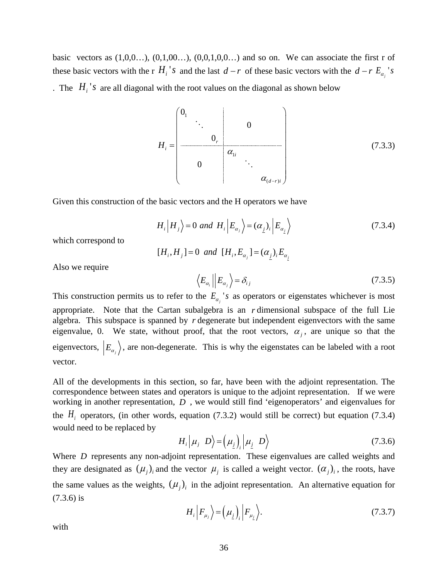basic vectors as  $(1,0,0...), (0,1,00...)$ ,  $(0,0,1,0,0...)$  and so on. We can associate the first r of these basic vectors with the r  $H_i$ <sup>'</sup>s and the last  $d - r$  of these basic vectors with the  $d - r E_{\alpha_i}$ 's . The  $H_i$ 's are all diagonal with the root values on the diagonal as shown below

$$
H_{i} = \begin{pmatrix} 0_{1} & & & & & \\ & \ddots & & & & \\ & & 0 & & & \\ & & & & \alpha_{1i} & & \\ & & & & & \ddots & \\ & & & & & & \alpha_{(d-r)i} \end{pmatrix}
$$
(7.3.3)

Given this construction of the basic vectors and the H operators we have

$$
H_i | H_j \rangle = 0 \text{ and } H_i | E_{\alpha_j} \rangle = (\alpha_j)_i | E_{\alpha_j} \rangle \tag{7.3.4}
$$

which correspond to

$$
[H_i, H_j] = 0
$$
 and  $[H_i, E_{\alpha_j}] = (\alpha_j)_i E_{\alpha_j}$ 

Also we require

$$
\left\langle E_{\alpha_i} \right| E_{\alpha_j} \left\rangle = \delta_{ij} \tag{7.3.5}
$$

This construction permits us to refer to the  $E_{\alpha_j}$ 's as operators or eigenstates whichever is most appropriate. Note that the Cartan subalgebra is an *r* dimensional subspace of the full Lie algebra. This subspace is spanned by *r* degenerate but independent eigenvectors with the same eigenvalue, 0. We state, without proof, that the root vectors,  $\alpha_i$ , are unique so that the eigenvectors,  $|E_{\alpha_j}\rangle$ , are non-degenerate. This is why the eigenstates can be labeled with a root vector.

All of the developments in this section, so far, have been with the adjoint representation. The correspondence between states and operators is unique to the adjoint representation. If we were working in another representation, *D* , we would still find 'eigenoperators' and eigenvalues for the  $H_i$  operators, (in other words, equation (7.3.2) would still be correct) but equation (7.3.4) would need to be replaced by

$$
H_i \Big| \mu_j \ D \Big> = \Big( \mu_j \Big)_i \Big| \mu_j \ D \Big> \tag{7.3.6}
$$

Where *D* represents any non-adjoint representation. These eigenvalues are called weights and they are designated as  $(\mu_i)_i$  and the vector  $\mu_i$  is called a weight vector.  $(\alpha_i)_i$ , the roots, have the same values as the weights,  $(\mu_j)$  in the adjoint representation. An alternative equation for (7.3.6) is

$$
H_i \left| F_{\mu_j} \right\rangle = \left( \mu_j \right)_i \left| F_{\mu_j} \right\rangle. \tag{7.3.7}
$$

with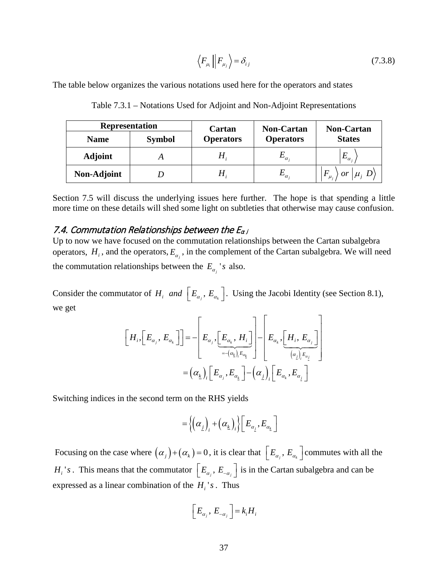$$
\left\langle F_{\mu_i} \right| F_{\mu_j} \right\rangle = \delta_{ij} \tag{7.3.8}
$$

The table below organizes the various notations used here for the operators and states

| <b>Representation</b> |               | Cartan             | <b>Non-Cartan</b> | <b>Non-Cartan</b>        |  |  |
|-----------------------|---------------|--------------------|-------------------|--------------------------|--|--|
| <b>Name</b>           | <b>Symbol</b> | <b>Operators</b>   | <b>Operators</b>  | <b>States</b>            |  |  |
| <b>Adjoint</b>        |               |                    | $-\alpha_i$       | $E_{\alpha_i}$           |  |  |
| Non-Adjoint           |               | $\boldsymbol{\Pi}$ | $-\alpha_i$       | $F_{\mu_i}$ or $\mu_j$ D |  |  |

Table 7.3.1 – Notations Used for Adjoint and Non-Adjoint Representations

Section 7.5 will discuss the underlying issues here further. The hope is that spending a little more time on these details will shed some light on subtleties that otherwise may cause confusion.

#### <span id="page-36-0"></span>7.4. Commutation Relationships between the  $E_{\alpha j}$

Up to now we have focused on the commutation relationships between the Cartan subalgebra operators,  $H_i$ , and the operators,  $E_{\alpha_i}$ , in the complement of the Cartan subalgebra. We will need the commutation relationships between the  $E_{\alpha}$  's also.

Consider the commutator of  $H_i$  *and*  $\left[ E_{\alpha_j}, E_{\alpha_k} \right]$ . Using the Jacobi Identity (see Section 8.1), we get

$$
\begin{aligned}\n\begin{bmatrix}\nH_i, \left[E_{\alpha_j}, E_{\alpha_k}\right]\n\end{bmatrix} & = -\begin{bmatrix}\nE_{\alpha_j}, \left[E_{\alpha_k}, H_i\right] \\
\hline\n\end{bmatrix} - \begin{bmatrix}\nE_{\alpha_k}, \left[H_i, E_{\alpha_j}\right] \\
\hline\n\end{bmatrix} \\
&= (\alpha_k)_i \begin{bmatrix}\nE_{\alpha_j}, E_{\alpha_k}\n\end{bmatrix} - (\alpha_k)_i \begin{bmatrix}\nE_{\alpha_k}, E_{\alpha_k}\n\end{bmatrix}\n\end{aligned}
$$

Switching indices in the second term on the RHS yields

$$
\hspace{1.5cm} = \hspace{1.5cm} \Big\{ \hspace{-.5cm} \big( \alpha_{_{\underline{j}}} \hspace{-.5cm} \big)_i \hspace{-.5cm} + \hspace{-.5cm} \big( \alpha_{_{\underline{k}}} \hspace{-.5cm} \big)_i \hspace{-.5cm} \Big\} \hspace{-.5cm} \Big[ \hspace{-.5cm} E_{_{\alpha_{_{\underline{j}}}}}, E_{_{\alpha_{_{\underline{k}}}}} \hspace{-.5cm} \big]
$$

Focusing on the case where  $(\alpha_j) + (\alpha_k) = 0$ , it is clear that  $\left[ E_{\alpha_j}, E_{\alpha_k} \right]$  commutes with all the  $H_i$ 's. This means that the commutator  $\left[ E_{\alpha_j}, E_{-\alpha_j} \right]$  is in the Cartan subalgebra and can be expressed as a linear combination of the  $H_i$ 's. Thus

$$
\left[E_{\alpha_j},\,E_{-\alpha_j}\,\right]=k_iH_i
$$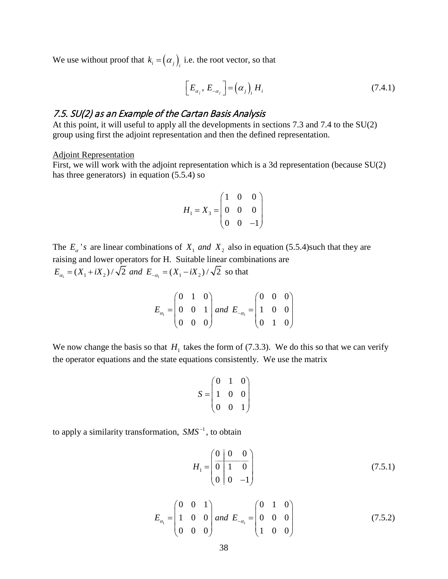We use without proof that  $k_i = (\alpha_j)_i$  i.e. the root vector, so that

$$
\left[E_{\alpha_j}, E_{-\alpha_j}\right] = \left(\alpha_j\right)_i H_i \tag{7.4.1}
$$

# <span id="page-37-0"></span>7.5. SU(2) as an Example of the Cartan Basis Analysis

At this point, it will useful to apply all the developments in sections 7.3 and 7.4 to the SU(2) group using first the adjoint representation and then the defined representation.

#### Adjoint Representation

First, we will work with the adjoint representation which is a 3d representation (because SU(2) has three generators) in equation (5.5.4) so

$$
H_1 = X_3 = \begin{pmatrix} 1 & 0 & 0 \\ 0 & 0 & 0 \\ 0 & 0 & -1 \end{pmatrix}
$$

The  $E_a$ 's are linear combinations of  $X_1$  and  $X_2$  also in equation (5.5.4)such that they are raising and lower operators for H. Suitable linear combinations are  $E_{\alpha_1} = (X_1 + iX_2) / \sqrt{2}$  and  $E_{-\alpha_1} = (X_1 - iX_2) / \sqrt{2}$  so that

$$
E_{\alpha_1} = \begin{pmatrix} 0 & 1 & 0 \\ 0 & 0 & 1 \\ 0 & 0 & 0 \end{pmatrix} \text{ and } E_{-\alpha_1} = \begin{pmatrix} 0 & 0 & 0 \\ 1 & 0 & 0 \\ 0 & 1 & 0 \end{pmatrix}
$$

We now change the basis so that  $H_1$  takes the form of (7.3.3). We do this so that we can verify the operator equations and the state equations consistently. We use the matrix

$$
S = \begin{pmatrix} 0 & 1 & 0 \\ 1 & 0 & 0 \\ 0 & 0 & 1 \end{pmatrix}
$$

to apply a similarity transformation,  $SMS^{-1}$ , to obtain

$$
H_1 = \begin{pmatrix} 0 & 0 & 0 \\ 0 & 1 & 0 \\ 0 & 0 & -1 \end{pmatrix}
$$
 (7.5.1)

$$
E_{\alpha_1} = \begin{pmatrix} 0 & 0 & 1 \\ 1 & 0 & 0 \\ 0 & 0 & 0 \end{pmatrix} and E_{-\alpha_1} = \begin{pmatrix} 0 & 1 & 0 \\ 0 & 0 & 0 \\ 1 & 0 & 0 \end{pmatrix}
$$
(7.5.2)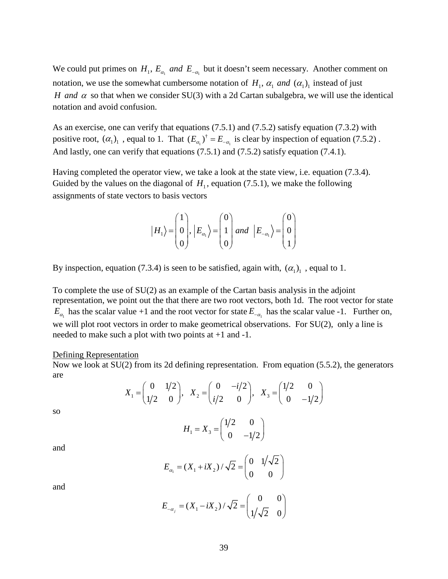We could put primes on  $H_1$ ,  $E_{\alpha_1}$  and  $E_{-\alpha_1}$  but it doesn't seem necessary. Another comment on notation, we use the somewhat cumbersome notation of  $H_1$ ,  $\alpha_1$  and  $(\alpha_1)$  instead of just *H* and  $\alpha$  so that when we consider SU(3) with a 2d Cartan subalgebra, we will use the identical notation and avoid confusion.

As an exercise, one can verify that equations (7.5.1) and (7.5.2) satisfy equation (7.3.2) with positive root,  $(\alpha_1)_1$ , equal to 1. That  $(E_{\alpha_1})^{\dagger} = E_{-\alpha_1}$  is clear by inspection of equation (7.5.2). And lastly, one can verify that equations (7.5.1) and (7.5.2) satisfy equation (7.4.1).

Having completed the operator view, we take a look at the state view, i.e. equation (7.3.4). Guided by the values on the diagonal of  $H<sub>1</sub>$ , equation (7.5.1), we make the following assignments of state vectors to basis vectors

$$
|H_1\rangle = \begin{pmatrix} 1 \\ 0 \\ 0 \end{pmatrix}, |E_{\alpha_1}\rangle = \begin{pmatrix} 0 \\ 1 \\ 0 \end{pmatrix} and |E_{-\alpha_1}\rangle = \begin{pmatrix} 0 \\ 0 \\ 1 \end{pmatrix}
$$

By inspection, equation (7.3.4) is seen to be satisfied, again with,  $(\alpha_1)_1$ , equal to 1.

To complete the use of SU(2) as an example of the Cartan basis analysis in the adjoint representation, we point out the that there are two root vectors, both 1d. The root vector for state  $E_{\alpha}$  has the scalar value +1 and the root vector for state  $E_{-\alpha}$  has the scalar value -1. Further on, we will plot root vectors in order to make geometrical observations. For SU(2), only a line is needed to make such a plot with two points at +1 and -1.

#### Defining Representation

Now we look at SU(2) from its 2d defining representation. From equation (5.5.2), the generators are

$$
X_1 = \begin{pmatrix} 0 & 1/2 \\ 1/2 & 0 \end{pmatrix}, X_2 = \begin{pmatrix} 0 & -i/2 \\ i/2 & 0 \end{pmatrix}, X_3 = \begin{pmatrix} 1/2 & 0 \\ 0 & -1/2 \end{pmatrix}
$$

so

$$
H_1 = X_3 = \begin{pmatrix} 1/2 & 0 \\ 0 & -1/2 \end{pmatrix}
$$

$$
E_{\alpha_1} = (X_1 + iX_2) / \sqrt{2} = \begin{pmatrix} 0 & 1/\sqrt{2} \\ 0 & 0 \end{pmatrix}
$$

and

and

$$
E_{-\alpha_j} = (X_1 - iX_2) / \sqrt{2} = \begin{pmatrix} 0 & 0 \\ 1/\sqrt{2} & 0 \end{pmatrix}
$$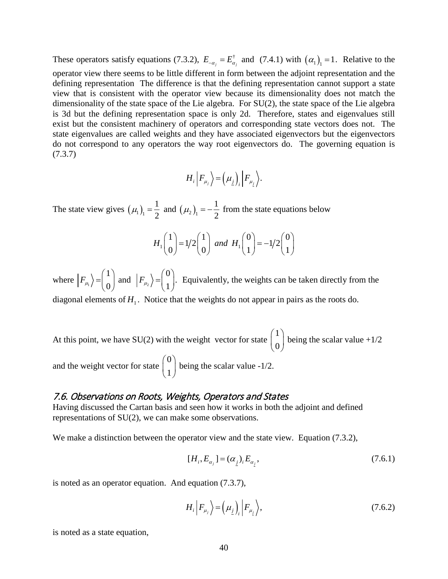These operators satisfy equations (7.3.2),  $E_{-\alpha_j} = E_{\alpha_j}^{\dagger}$  and (7.4.1) with  $(\alpha_1)$ <sub>1</sub> = 1. Relative to the operator view there seems to be little different in form between the adjoint representation and the defining representation The difference is that the defining representation cannot support a state view that is consistent with the operator view because its dimensionality does not match the dimensionality of the state space of the Lie algebra. For SU(2), the state space of the Lie algebra is 3d but the defining representation space is only 2d. Therefore, states and eigenvalues still exist but the consistent machinery of operators and corresponding state vectors does not. The state eigenvalues are called weights and they have associated eigenvectors but the eigenvectors do not correspond to any operators the way root eigenvectors do. The governing equation is (7.3.7)

$$
H_i\left|F_{\mu_j}\right\rangle = \left(\mu_j\right)_i\left|F_{\mu_j}\right\rangle.
$$

The state view gives  $(\mu_1)_1 = \frac{1}{2}$  and  $(\mu_2)_1 = -\frac{1}{2}$  from the state equations below

$$
H_1\begin{pmatrix}1\\0\end{pmatrix} = 1/2\begin{pmatrix}1\\0\end{pmatrix} \text{ and } H_1\begin{pmatrix}0\\1\end{pmatrix} = -1/2\begin{pmatrix}0\\1\end{pmatrix}
$$

where  $\left|F_{\mu_{1}}\right|$ 1  $\left|F_{\mu_1}\right\rangle = \left| \begin{array}{c} 0 \ 0 \end{array} \right|$  $= \begin{pmatrix} 1 \\ 0 \end{pmatrix}$  and  $|F_{\mu_2}\rangle = \begin{pmatrix} 0 \\ 1 \end{pmatrix}$ .  $= \begin{pmatrix} 0 \\ 1 \end{pmatrix}$ . Equivalently, the weights can be taken directly from the diagonal elements of  $H_1$ . Notice that the weights do not appear in pairs as the roots do.

At this point, we have SU(2) with the weight vector for state 1  $\begin{pmatrix} 1 \ 0 \end{pmatrix}$ being the scalar value  $+1/2$ and the weight vector for state 0  $\begin{pmatrix} 0 \ 1 \end{pmatrix}$ being the scalar value -1/2.

#### <span id="page-39-0"></span>7.6. Observations on Roots, Weights, Operators and States

Having discussed the Cartan basis and seen how it works in both the adjoint and defined representations of SU(2), we can make some observations.

We make a distinction between the operator view and the state view. Equation (7.3.2),

$$
[H_i, E_{\alpha_j}] = (\alpha_j)_i E_{\alpha_j}, \tag{7.6.1}
$$

is noted as an operator equation. And equation (7.3.7),

$$
H_i\left|F_{\mu_j}\right\rangle = \left(\mu_j\right)_i \left|F_{\mu_j}\right\rangle,\tag{7.6.2}
$$

is noted as a state equation,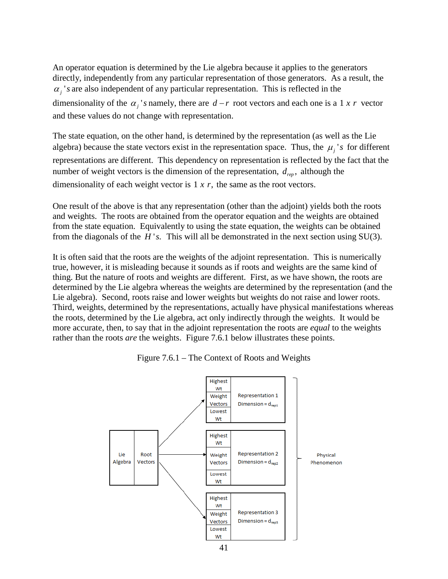An operator equation is determined by the Lie algebra because it applies to the generators directly, independently from any particular representation of those generators. As a result, the  $\alpha_j$ 's are also independent of any particular representation. This is reflected in the dimensionality of the  $\alpha_i$ 's namely, there are  $d-r$  root vectors and each one is a 1 x r vector and these values do not change with representation.

The state equation, on the other hand, is determined by the representation (as well as the Lie algebra) because the state vectors exist in the representation space. Thus, the  $\mu_i$ 's for different representations are different. This dependency on representation is reflected by the fact that the number of weight vectors is the dimension of the representation,  $d_{rep}$ , although the dimensionality of each weight vector is  $1 \times r$ , the same as the root vectors.

One result of the above is that any representation (other than the adjoint) yields both the roots and weights. The roots are obtained from the operator equation and the weights are obtained from the state equation. Equivalently to using the state equation, the weights can be obtained from the diagonals of the  $H$ 's. This will all be demonstrated in the next section using  $SU(3)$ .

It is often said that the roots are the weights of the adjoint representation. This is numerically true, however, it is misleading because it sounds as if roots and weights are the same kind of thing. But the nature of roots and weights are different. First, as we have shown, the roots are determined by the Lie algebra whereas the weights are determined by the representation (and the Lie algebra). Second, roots raise and lower weights but weights do not raise and lower roots. Third, weights, determined by the representations, actually have physical manifestations whereas the roots, determined by the Lie algebra, act only indirectly through the weights. It would be more accurate, then, to say that in the adjoint representation the roots are *equal* to the weights rather than the roots *are* the weights. Figure 7.6.1 below illustrates these points.



Figure 7.6.1 – The Context of Roots and Weights

41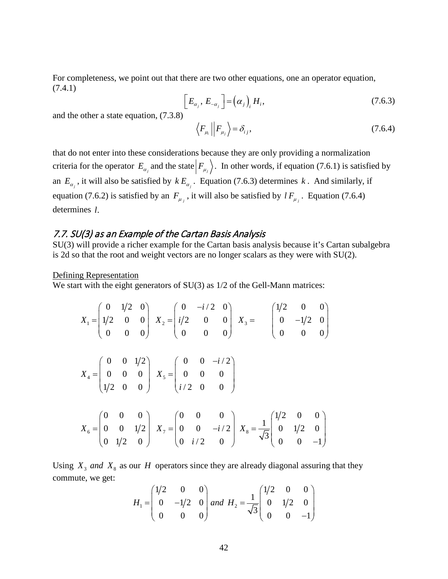For completeness, we point out that there are two other equations, one an operator equation, (7.4.1)

$$
\left[E_{\alpha_j}, E_{-\alpha_j}\right] = \left(\alpha_j\right)_i H_i,\tag{7.6.3}
$$

and the other a state equation, (7.3.8)

$$
\left\langle F_{\mu_i} \right| F_{\mu_j} \left\rangle = \delta_{ij},\tag{7.6.4}
$$

that do not enter into these considerations because they are only providing a normalization criteria for the operator  $E_{\alpha}$  and the state  $|F_{\mu}$ . In other words, if equation (7.6.1) is satisfied by an  $E_{\alpha}$ , it will also be satisfied by  $k E_{\alpha}$ . Equation (7.6.3) determines k. And similarly, if equation (7.6.2) is satisfied by an  $F_{\mu}$ , it will also be satisfied by  $lF_{\mu}$ . Equation (7.6.4) determines *l*.

### <span id="page-41-0"></span>7.7. SU(3) as an Example of the Cartan Basis Analysis

SU(3) will provide a richer example for the Cartan basis analysis because it's Cartan subalgebra is 2d so that the root and weight vectors are no longer scalars as they were with SU(2).

Defining Representation

We start with the eight generators of SU(3) as  $1/2$  of the Gell-Mann matrices:

$$
X_{1} = \begin{pmatrix} 0 & 1/2 & 0 \\ 1/2 & 0 & 0 \\ 0 & 0 & 0 \end{pmatrix} X_{2} = \begin{pmatrix} 0 & -i/2 & 0 \\ i/2 & 0 & 0 \\ 0 & 0 & 0 \end{pmatrix} X_{3} = \begin{pmatrix} 1/2 & 0 & 0 \\ 0 & -1/2 & 0 \\ 0 & 0 & 0 \end{pmatrix}
$$
  

$$
X_{4} = \begin{pmatrix} 0 & 0 & 1/2 \\ 0 & 0 & 0 \\ 1/2 & 0 & 0 \end{pmatrix} X_{5} = \begin{pmatrix} 0 & 0 & -i/2 \\ 0 & 0 & 0 \\ i/2 & 0 & 0 \end{pmatrix}
$$
  

$$
X_{6} = \begin{pmatrix} 0 & 0 & 0 \\ 0 & 0 & 1/2 \\ 0 & 1/2 & 0 \end{pmatrix} X_{7} = \begin{pmatrix} 0 & 0 & 0 \\ 0 & 0 & -i/2 \\ 0 & i/2 & 0 \end{pmatrix} X_{8} = \frac{1}{\sqrt{3}} \begin{pmatrix} 1/2 & 0 & 0 \\ 0 & 1/2 & 0 \\ 0 & 0 & -1 \end{pmatrix}
$$

Using  $X_3$  and  $X_8$  as our *H* operators since they are already diagonal assuring that they commute, we get:

$$
H_1 = \begin{pmatrix} 1/2 & 0 & 0 \\ 0 & -1/2 & 0 \\ 0 & 0 & 0 \end{pmatrix} \text{ and } H_2 = \frac{1}{\sqrt{3}} \begin{pmatrix} 1/2 & 0 & 0 \\ 0 & 1/2 & 0 \\ 0 & 0 & -1 \end{pmatrix}
$$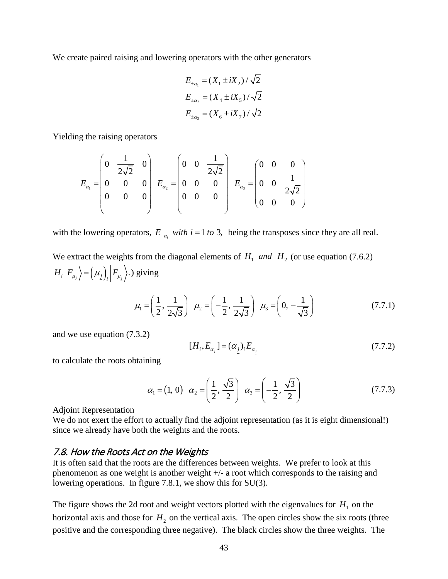We create paired raising and lowering operators with the other generators

$$
E_{\pm \alpha_1} = (X_1 \pm iX_2) / \sqrt{2}
$$
  
\n
$$
E_{\pm \alpha_2} = (X_4 \pm iX_5) / \sqrt{2}
$$
  
\n
$$
E_{\pm \alpha_3} = (X_6 \pm iX_7) / \sqrt{2}
$$

Yielding the raising operators

$$
E_{\alpha_1} = \begin{pmatrix} 0 & \frac{1}{2\sqrt{2}} & 0 \\ 0 & 0 & 0 \\ 0 & 0 & 0 \\ 0 & 0 & 0 \end{pmatrix} \quad E_{\alpha_2} = \begin{pmatrix} 0 & 0 & \frac{1}{2\sqrt{2}} \\ 0 & 0 & 0 \\ 0 & 0 & 0 \\ 0 & 0 & 0 \end{pmatrix} \quad E_{\alpha_3} = \begin{pmatrix} 0 & 0 & 0 \\ 0 & 0 & \frac{1}{2\sqrt{2}} \\ 0 & 0 & 0 \\ 0 & 0 & 0 \end{pmatrix}
$$

with the lowering operators,  $E_{-\alpha}$  *with*  $i = 1$  *to* 3, being the transposes since they are all real.

We extract the weights from the diagonal elements of  $H_1$  and  $H_2$  (or use equation (7.6.2)  $\langle H_i | F_{\mu_j} \rangle = (\mu_j)_{i} | F_{\mu_j} \rangle$ .) giving

$$
\mu_1 = \left(\frac{1}{2}, \frac{1}{2\sqrt{3}}\right) \quad \mu_2 = \left(-\frac{1}{2}, \frac{1}{2\sqrt{3}}\right) \quad \mu_3 = \left(0, -\frac{1}{\sqrt{3}}\right) \tag{7.7.1}
$$

and we use equation (7.3.2)

$$
[H_i, E_{\alpha_j}] = (\alpha_j)_i E_{\alpha_j} \tag{7.7.2}
$$

to calculate the roots obtaining

$$
\alpha_1 = (1, 0) \quad \alpha_2 = \left(\frac{1}{2}, \frac{\sqrt{3}}{2}\right) \quad \alpha_3 = \left(-\frac{1}{2}, \frac{\sqrt{3}}{2}\right)
$$
\n(7.7.3)

#### Adjoint Representation

We do not exert the effort to actually find the adjoint representation (as it is eight dimensional!) since we already have both the weights and the roots.

#### <span id="page-42-0"></span>7.8. How the Roots Act on the Weights

It is often said that the roots are the differences between weights. We prefer to look at this phenomenon as one weight is another weight +/- a root which corresponds to the raising and lowering operations. In figure 7.8.1, we show this for SU(3).

The figure shows the 2d root and weight vectors plotted with the eigenvalues for  $H_1$  on the horizontal axis and those for  $H_2$  on the vertical axis. The open circles show the six roots (three positive and the corresponding three negative). The black circles show the three weights. The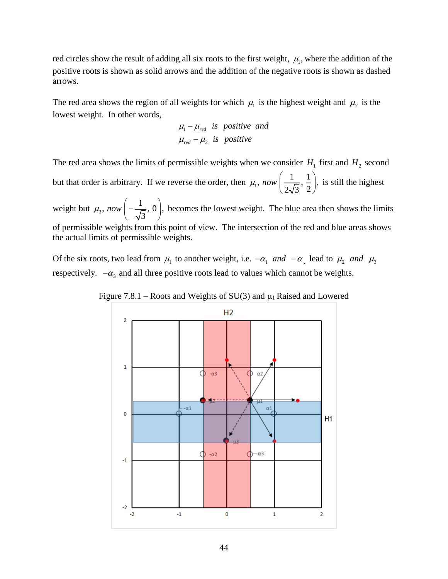red circles show the result of adding all six roots to the first weight,  $\mu_1$ , where the addition of the positive roots is shown as solid arrows and the addition of the negative roots is shown as dashed arrows.

The red area shows the region of all weights for which  $\mu_1$  is the highest weight and  $\mu_2$  is the lowest weight. In other words,

$$
\mu_1 - \mu_{red} \text{ is positive and}
$$
  

$$
\mu_{red} - \mu_2 \text{ is positive}
$$

The red area shows the limits of permissible weights when we consider  $H_1$  first and  $H_2$  second but that order is arbitrary. If we reverse the order, then  $\mu_1$ ,  $now \left( \frac{1}{2\sqrt{3}}, \frac{1}{2} \right)$ , is still the highest

weight but  $\mu_3$ , now  $\left(-\frac{1}{\sqrt{3}}, 0\right)$ , becomes the lowest weight. The blue area then shows the limits of permissible weights from this point of view. The intersection of the red and blue areas shows the actual limits of permissible weights.

Of the six roots, two lead from  $\mu_1$  to another weight, i.e.  $-\alpha_1$  *and*  $-\alpha_2$  lead to  $\mu_2$  *and*  $\mu_3$ respectively.  $-\alpha_3$  and all three positive roots lead to values which cannot be weights.

Figure 7.8.1 – Roots and Weights of  $SU(3)$  and  $\mu_1$  Raised and Lowered

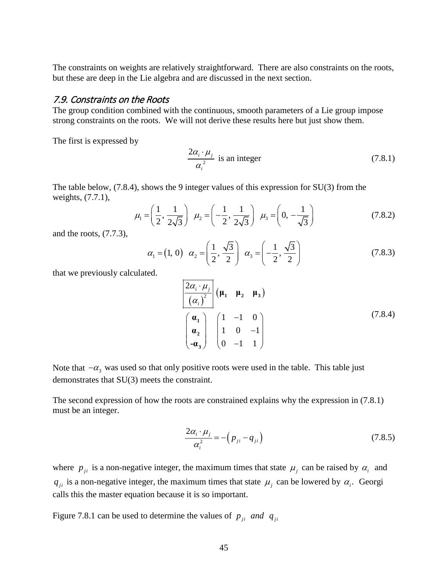The constraints on weights are relatively straightforward. There are also constraints on the roots, but these are deep in the Lie algebra and are discussed in the next section.

#### <span id="page-44-0"></span>7.9. Constraints on the Roots

The group condition combined with the continuous, smooth parameters of a Lie group impose strong constraints on the roots. We will not derive these results here but just show them.

The first is expressed by

$$
\frac{2\alpha_i \cdot \mu_j}{\alpha_i^2}
$$
 is an integer (7.8.1)

The table below, (7.8.4), shows the 9 integer values of this expression for SU(3) from the weights, (7.7.1),

$$
\mu_1 = \left(\frac{1}{2}, \frac{1}{2\sqrt{3}}\right) \mu_2 = \left(-\frac{1}{2}, \frac{1}{2\sqrt{3}}\right) \mu_3 = \left(0, -\frac{1}{\sqrt{3}}\right)
$$
(7.8.2)

and the roots, (7.7.3),

$$
\alpha_1 = (1, 0) \quad \alpha_2 = \left(\frac{1}{2}, \frac{\sqrt{3}}{2}\right) \quad \alpha_3 = \left(-\frac{1}{2}, \frac{\sqrt{3}}{2}\right)
$$
\n(7.8.3)

that we previously calculated.

$$
\frac{2\alpha_i \cdot \mu_j}{(\alpha_i)^2} \begin{pmatrix} \mu_1 & \mu_2 & \mu_3 \end{pmatrix}
$$
\n
$$
\begin{pmatrix} \mathbf{a}_1 \\ \mathbf{a}_2 \\ -\mathbf{a}_3 \end{pmatrix} \begin{pmatrix} 1 & -1 & 0 \\ 1 & 0 & -1 \\ 0 & -1 & 1 \end{pmatrix}
$$
\n(7.8.4)

Note that  $-\alpha_3$  was used so that only positive roots were used in the table. This table just demonstrates that SU(3) meets the constraint.

The second expression of how the roots are constrained explains why the expression in (7.8.1) must be an integer.

$$
\frac{2\alpha_i \cdot \mu_j}{\alpha_i^2} = -\left(p_{ji} - q_{ji}\right) \tag{7.8.5}
$$

where  $p_{ji}$  is a non-negative integer, the maximum times that state  $\mu_j$  can be raised by  $\alpha_i$  and  $q_{ii}$  is a non-negative integer, the maximum times that state  $\mu_i$  can be lowered by  $\alpha_i$ . Georgi calls this the master equation because it is so important.

Figure 7.8.1 can be used to determine the values of  $p_{ji}$  *and*  $q_{ji}$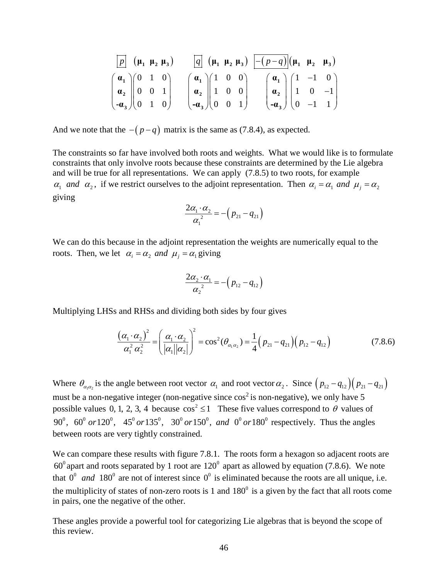$$
\begin{array}{c|c|c}\n\hline\np & (\mu_1 \mu_2 \mu_3) & \boxed{q} & (\mu_1 \mu_2 \mu_3) & \boxed{-(p-q)} & (\mu_1 \mu_2 \mu_3) \\
\left(\begin{array}{c}\n\mathbf{a}_1 \\
\mathbf{a}_2 \\
\mathbf{a}_3\n\end{array}\right)\n\begin{array}{c|c}\n0 & 1 & 0 \\
0 & 0 & 1 \\
0 & 1 & 0\n\end{array}\n\end{array}\n\quad\n\begin{array}{c|c}\n\mathbf{a}_1 \\
\mathbf{a}_2 \\
\mathbf{a}_3\n\end{array}\n\begin{array}{c|c}\n1 & 0 & 0 \\
1 & 0 & 0 \\
0 & 0 & 1\n\end{array}\n\end{array}\n\quad\n\begin{array}{c|c}\n\mathbf{a}_1 \\
\mathbf{a}_2 \\
\mathbf{a}_3\n\end{array}\n\begin{array}{c|c}\n1 & -1 & 0 \\
1 & 0 & -1 \\
0 & -1 & 1\n\end{array}
$$

And we note that the  $-(p-q)$  matrix is the same as (7.8.4), as expected.

The constraints so far have involved both roots and weights. What we would like is to formulate constraints that only involve roots because these constraints are determined by the Lie algebra and will be true for all representations. We can apply (7.8.5) to two roots, for example  $\alpha_1$  *and*  $\alpha_2$ , if we restrict ourselves to the adjoint representation. Then  $\alpha_i = \alpha_1$  *and*  $\mu_i = \alpha_2$ giving

$$
\frac{2\alpha_1 \cdot \alpha_2}{\alpha_1^2} = -\left(p_{21} - q_{21}\right)
$$

We can do this because in the adjoint representation the weights are numerically equal to the roots. Then, we let  $\alpha_i = \alpha_2$  and  $\mu_i = \alpha_1$  giving

$$
\frac{2\alpha_2\cdot\alpha_1}{\alpha_2^2}=-\left(p_{12}-q_{12}\right)
$$

Multiplying LHSs and RHSs and dividing both sides by four gives

$$
\frac{(\alpha_1 \cdot \alpha_2)^2}{\alpha_1^2 \alpha_2^2} = \left(\frac{\alpha_1 \cdot \alpha_2}{|\alpha_1||\alpha_2|}\right)^2 = \cos^2(\theta_{\alpha_1 \alpha_2}) = \frac{1}{4}(p_{21} - q_{21})(p_{12} - q_{12})
$$
\n(7.8.6)

Where  $\theta_{\alpha_1\alpha_2}$  is the angle between root vector  $\alpha_1$  and root vector  $\alpha_2$ . Since  $\left(p_{12} - q_{12}\right)\left(p_{21} - q_{21}\right)$ must be a non-negative integer (non-negative since  $\cos^2$  is non-negative), we only have 5 possible values 0, 1, 2, 3, 4 because  $\cos^2 \le 1$  These five values correspond to  $\theta$  values of 90<sup>0</sup>, 60<sup>0</sup> or  $120^{\circ}$ , 45<sup>0</sup> or  $135^{\circ}$ , 30<sup>0</sup> or  $150^{\circ}$ , and  $0^{\circ}$  or  $180^{\circ}$  respectively. Thus the angles between roots are very tightly constrained.

We can compare these results with figure 7.8.1. The roots form a hexagon so adjacent roots are  $60^{\circ}$  apart and roots separated by 1 root are  $120^{\circ}$  apart as allowed by equation (7.8.6). We note that  $0^0$  *and* 180<sup>°</sup> are not of interest since  $0^0$  is eliminated because the roots are all unique, i.e. the multiplicity of states of non-zero roots is 1 and  $180^\circ$  is a given by the fact that all roots come in pairs, one the negative of the other.

These angles provide a powerful tool for categorizing Lie algebras that is beyond the scope of this review.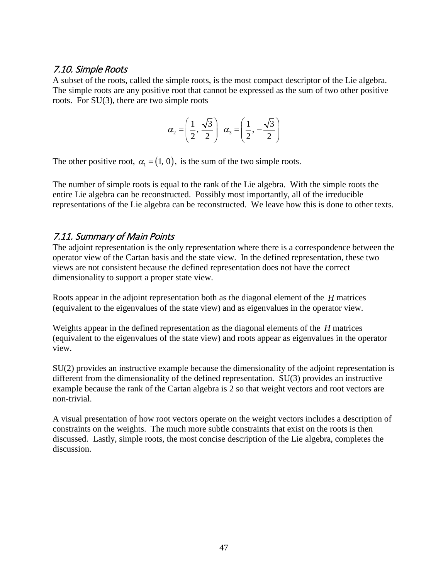### <span id="page-46-0"></span>7.10. Simple Roots

A subset of the roots, called the simple roots, is the most compact descriptor of the Lie algebra. The simple roots are any positive root that cannot be expressed as the sum of two other positive roots. For SU(3), there are two simple roots

$$
\alpha_2 = \left(\frac{1}{2}, \frac{\sqrt{3}}{2}\right) \alpha_3 = \left(\frac{1}{2}, -\frac{\sqrt{3}}{2}\right)
$$

The other positive root,  $\alpha_1 = (1, 0)$ , is the sum of the two simple roots.

The number of simple roots is equal to the rank of the Lie algebra. With the simple roots the entire Lie algebra can be reconstructed. Possibly most importantly, all of the irreducible representations of the Lie algebra can be reconstructed. We leave how this is done to other texts.

# <span id="page-46-1"></span>7.11. Summary of Main Points

The adjoint representation is the only representation where there is a correspondence between the operator view of the Cartan basis and the state view. In the defined representation, these two views are not consistent because the defined representation does not have the correct dimensionality to support a proper state view.

Roots appear in the adjoint representation both as the diagonal element of the *H* matrices (equivalent to the eigenvalues of the state view) and as eigenvalues in the operator view.

Weights appear in the defined representation as the diagonal elements of the *H* matrices (equivalent to the eigenvalues of the state view) and roots appear as eigenvalues in the operator view.

SU(2) provides an instructive example because the dimensionality of the adjoint representation is different from the dimensionality of the defined representation. SU(3) provides an instructive example because the rank of the Cartan algebra is 2 so that weight vectors and root vectors are non-trivial.

<span id="page-46-2"></span>A visual presentation of how root vectors operate on the weight vectors includes a description of constraints on the weights. The much more subtle constraints that exist on the roots is then discussed. Lastly, simple roots, the most concise description of the Lie algebra, completes the discussion.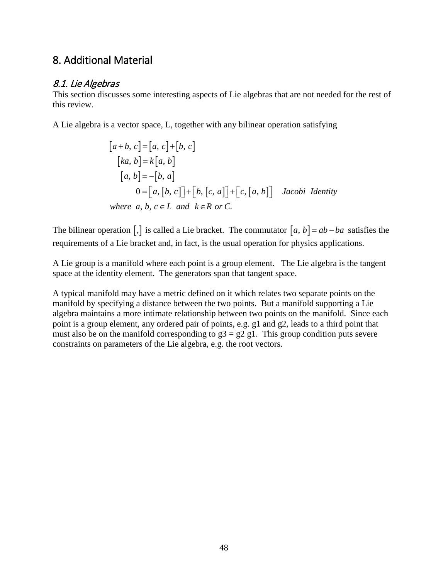# 8. Additional Material

# <span id="page-47-0"></span>8.1. Lie Algebras

This section discusses some interesting aspects of Lie algebras that are not needed for the rest of this review.

A Lie algebra is a vector space, L, together with any bilinear operation satisfying

$$
[a+b, c] = [a, c] + [b, c]
$$
  
\n
$$
[ka, b] = k[a, b]
$$
  
\n
$$
[a, b] = -[b, a]
$$
  
\n
$$
0 = [a, [b, c]] + [b, [c, a]] + [c, [a, b]]
$$
 Jacobi Identity  
\nwhere a, b, c \in L and k \in R or C.

The bilinear operation  $\left[\right, \right]$  is called a Lie bracket. The commutator  $\left[a, b\right] = ab - ba$  satisfies the requirements of a Lie bracket and, in fact, is the usual operation for physics applications.

A Lie group is a manifold where each point is a group element. The Lie algebra is the tangent space at the identity element. The generators span that tangent space.

<span id="page-47-1"></span>A typical manifold may have a metric defined on it which relates two separate points on the manifold by specifying a distance between the two points. But a manifold supporting a Lie algebra maintains a more intimate relationship between two points on the manifold. Since each point is a group element, any ordered pair of points, e.g. g1 and g2, leads to a third point that must also be on the manifold corresponding to  $g3 = g2 g1$ . This group condition puts severe constraints on parameters of the Lie algebra, e.g. the root vectors.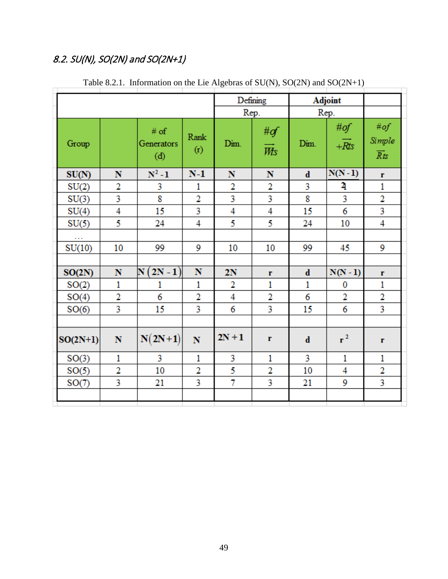# 8.2. SU(N), SO(2N) and SO(2N+1)

|            |                |                           |                         |                         | Defining                    | Adjoint      |                                    |                                             |
|------------|----------------|---------------------------|-------------------------|-------------------------|-----------------------------|--------------|------------------------------------|---------------------------------------------|
|            |                | Rep.                      | Rep.                    |                         |                             |              |                                    |                                             |
| Group      |                | # of<br>Generators<br>(d) | Rank<br>(r)             | Dim.                    | #of<br>$\overrightarrow{W}$ | Dim.         | # $of$<br>$+\overrightarrow{R}$ ts | # $of$<br>Simple<br>$\overrightarrow{R}$ ts |
| SU(N)      | N              | $N^2 - 1$                 | $N-1$                   | N                       | N                           | $\mathbf d$  | $N(N-1)$                           | r                                           |
| SU(2)      | 2              | 3                         | 1                       | $\overline{2}$          | 2                           | 3            | 4                                  | 1                                           |
| SU(3)      | 3              | 8                         | $\overline{2}$          | $\overline{\mathbf{3}}$ | 3                           | 8            | 3                                  | $\overline{\mathbf{c}}$                     |
| SU(4)      | 4              | 15                        | 3                       | $\overline{4}$          | 4                           | 15           | 6                                  | 3                                           |
| SU(5)      | 5              | 24                        | $\overline{4}$          | 5                       | 5                           | 24           | 10                                 | $\overline{4}$                              |
|            |                |                           |                         |                         |                             |              |                                    |                                             |
| SU(10)     | 10             | 99                        | 9                       | 10                      | 10                          | 99           | 45                                 | 9                                           |
|            |                |                           |                         |                         |                             |              |                                    |                                             |
| SO(2N)     | N              | $N(2N-1)$                 | N                       | 2N                      | r                           | $\mathbf d$  | $N(N-1)$                           | r                                           |
| SO(2)      | $\mathbf{1}$   | 1                         | $\mathbf{1}$            | 2                       | $\mathbf{1}$                | $\mathbf{1}$ | 0                                  | $\mathbf{1}$                                |
| SO(4)      | $\overline{2}$ | 6                         | $\overline{2}$          | 4                       | 2                           | 6            | 2                                  | 2                                           |
| SO(6)      | 3              | 15                        | 3                       | 6                       | 3                           | 15           | 6                                  | 3                                           |
|            |                |                           |                         |                         |                             |              |                                    |                                             |
| $SO(2N+1)$ | $\mathbf N$    | $N(2N+1)$                 | $\overline{\mathbf{N}}$ | $2N+1$                  | $\mathbf r$                 | $\mathbf d$  | $r^2$                              | r                                           |
| SO(3)      | 1              | 3                         | 1                       | 3                       | 1                           | 3            | 1                                  | 1                                           |
| SO(5)      | 2              | 10                        | 2                       | 5                       | 2                           | 10           | 4                                  | 2                                           |
| SO(7)      | 3              | 21                        | 3                       | $\overline{7}$          | 3                           | 21           | 9                                  | 3                                           |
|            |                |                           |                         |                         |                             |              |                                    |                                             |

Table 8.2.1. Information on the Lie Algebras of SU(N), SO(2N) and SO(2N+1)